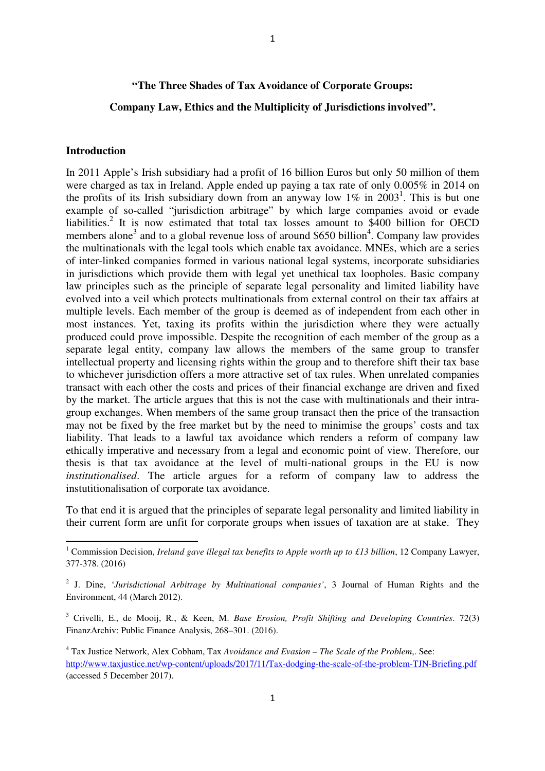## **"The Three Shades of Tax Avoidance of Corporate Groups:**

### **Company Law, Ethics and the Multiplicity of Jurisdictions involved".**

### **Introduction**

 $\overline{\phantom{0}}$ 

In 2011 Apple's Irish subsidiary had a profit of 16 billion Euros but only 50 million of them were charged as tax in Ireland. Apple ended up paying a tax rate of only 0.005% in 2014 on the profits of its Irish subsidiary down from an anyway low  $1\%$  in  $2003^1$ . This is but one example of so-called "jurisdiction arbitrage" by which large companies avoid or evade liabilities.<sup>2</sup> It is now estimated that total tax losses amount to \$400 billion for OECD members alone<sup>3</sup> and to a global revenue loss of around \$650 billion<sup>4</sup>. Company law provides the multinationals with the legal tools which enable tax avoidance. MNEs, which are a series of inter-linked companies formed in various national legal systems, incorporate subsidiaries in jurisdictions which provide them with legal yet unethical tax loopholes. Basic company law principles such as the principle of separate legal personality and limited liability have evolved into a veil which protects multinationals from external control on their tax affairs at multiple levels. Each member of the group is deemed as of independent from each other in most instances. Yet, taxing its profits within the jurisdiction where they were actually produced could prove impossible. Despite the recognition of each member of the group as a separate legal entity, company law allows the members of the same group to transfer intellectual property and licensing rights within the group and to therefore shift their tax base to whichever jurisdiction offers a more attractive set of tax rules. When unrelated companies transact with each other the costs and prices of their financial exchange are driven and fixed by the market. The article argues that this is not the case with multinationals and their intragroup exchanges. When members of the same group transact then the price of the transaction may not be fixed by the free market but by the need to minimise the groups' costs and tax liability. That leads to a lawful tax avoidance which renders a reform of company law ethically imperative and necessary from a legal and economic point of view. Therefore, our thesis is that tax avoidance at the level of multi-national groups in the EU is now *institutionalised*. The article argues for a reform of company law to address the instutitionalisation of corporate tax avoidance.

To that end it is argued that the principles of separate legal personality and limited liability in their current form are unfit for corporate groups when issues of taxation are at stake. They

<sup>&</sup>lt;sup>1</sup> Commission Decision, *Ireland gave illegal tax benefits to Apple worth up to £13 billion*, 12 Company Lawyer, 377-378. (2016)

<sup>2</sup> J. Dine, '*Jurisdictional Arbitrage by Multinational companies'*, 3 Journal of Human Rights and the Environment, 44 (March 2012).

<sup>3</sup> Crivelli, E., de Mooij, R., & Keen, M. *Base Erosion, Profit Shifting and Developing Countries*. 72(3) FinanzArchiv: Public Finance Analysis, 268–301. (2016).

<sup>4</sup> Tax Justice Network, Alex Cobham, Tax *Avoidance and Evasion – The Scale of the Problem*,. See: http://www.taxjustice.net/wp-content/uploads/2017/11/Tax-dodging-the-scale-of-the-problem-TJN-Briefing.pdf (accessed 5 December 2017).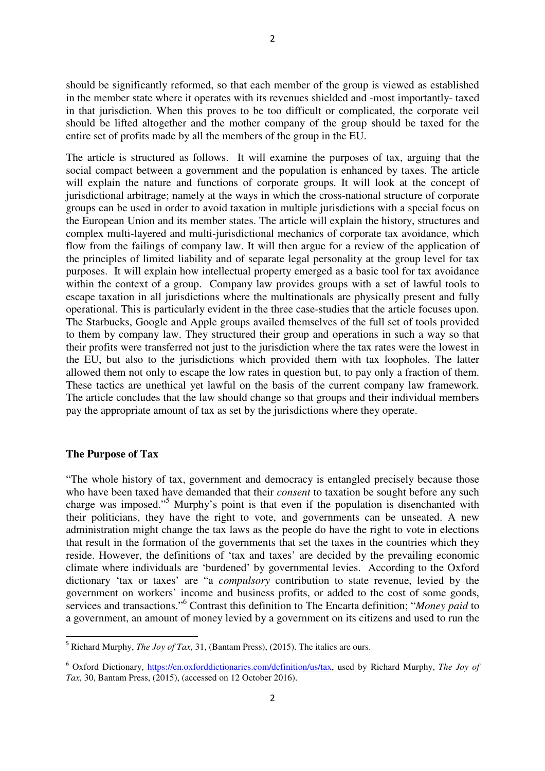should be significantly reformed, so that each member of the group is viewed as established in the member state where it operates with its revenues shielded and -most importantly- taxed in that jurisdiction. When this proves to be too difficult or complicated, the corporate veil should be lifted altogether and the mother company of the group should be taxed for the entire set of profits made by all the members of the group in the EU.

The article is structured as follows. It will examine the purposes of tax, arguing that the social compact between a government and the population is enhanced by taxes. The article will explain the nature and functions of corporate groups. It will look at the concept of jurisdictional arbitrage; namely at the ways in which the cross-national structure of corporate groups can be used in order to avoid taxation in multiple jurisdictions with a special focus on the European Union and its member states. The article will explain the history, structures and complex multi-layered and multi-jurisdictional mechanics of corporate tax avoidance, which flow from the failings of company law. It will then argue for a review of the application of the principles of limited liability and of separate legal personality at the group level for tax purposes. It will explain how intellectual property emerged as a basic tool for tax avoidance within the context of a group. Company law provides groups with a set of lawful tools to escape taxation in all jurisdictions where the multinationals are physically present and fully operational. This is particularly evident in the three case-studies that the article focuses upon. The Starbucks, Google and Apple groups availed themselves of the full set of tools provided to them by company law. They structured their group and operations in such a way so that their profits were transferred not just to the jurisdiction where the tax rates were the lowest in the EU, but also to the jurisdictions which provided them with tax loopholes. The latter allowed them not only to escape the low rates in question but, to pay only a fraction of them. These tactics are unethical yet lawful on the basis of the current company law framework. The article concludes that the law should change so that groups and their individual members pay the appropriate amount of tax as set by the jurisdictions where they operate.

#### **The Purpose of Tax**

 $\overline{\phantom{0}}$ 

"The whole history of tax, government and democracy is entangled precisely because those who have been taxed have demanded that their *consent* to taxation be sought before any such charge was imposed."<sup>5</sup> Murphy's point is that even if the population is disenchanted with their politicians, they have the right to vote, and governments can be unseated. A new administration might change the tax laws as the people do have the right to vote in elections that result in the formation of the governments that set the taxes in the countries which they reside. However, the definitions of 'tax and taxes' are decided by the prevailing economic climate where individuals are 'burdened' by governmental levies. According to the Oxford dictionary 'tax or taxes' are "a *compulsory* contribution to state revenue, levied by the government on workers' income and business profits, or added to the cost of some goods, services and transactions."<sup>6</sup> Contrast this definition to The Encarta definition; "*Money paid* to a government, an amount of money levied by a government on its citizens and used to run the

<sup>5</sup> Richard Murphy, *The Joy of Tax*, 31, (Bantam Press), (2015). The italics are ours.

<sup>&</sup>lt;sup>6</sup> Oxford Dictionary, https://en.oxforddictionaries.com/definition/us/tax, used by Richard Murphy, The Joy of *Tax*, 30, Bantam Press, (2015), (accessed on 12 October 2016).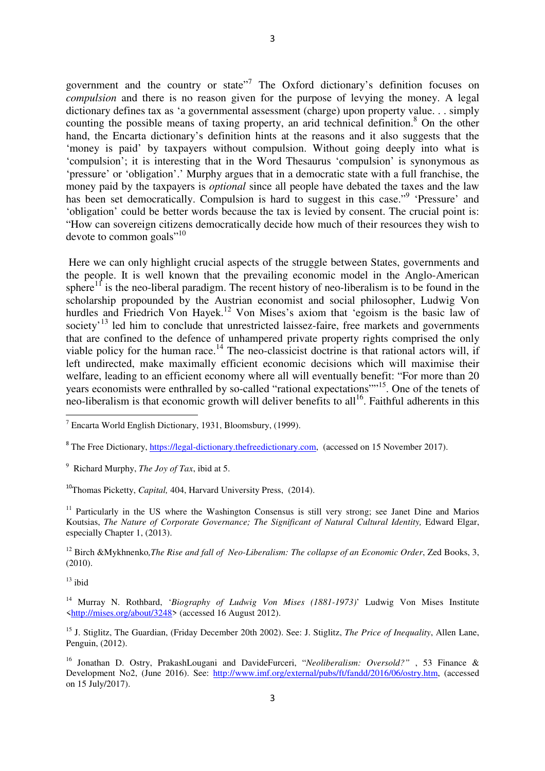government and the country or state"<sup>7</sup> The Oxford dictionary's definition focuses on *compulsion* and there is no reason given for the purpose of levying the money. A legal dictionary defines tax as 'a governmental assessment (charge) upon property value. . . simply counting the possible means of taxing property, an arid technical definition.<sup>8</sup> On the other hand, the Encarta dictionary's definition hints at the reasons and it also suggests that the 'money is paid' by taxpayers without compulsion. Without going deeply into what is 'compulsion'; it is interesting that in the Word Thesaurus 'compulsion' is synonymous as 'pressure' or 'obligation'.' Murphy argues that in a democratic state with a full franchise, the money paid by the taxpayers is *optional* since all people have debated the taxes and the law has been set democratically. Compulsion is hard to suggest in this case."<sup>9</sup> 'Pressure' and 'obligation' could be better words because the tax is levied by consent. The crucial point is: "How can sovereign citizens democratically decide how much of their resources they wish to devote to common goals"<sup>10</sup>

 Here we can only highlight crucial aspects of the struggle between States, governments and the people. It is well known that the prevailing economic model in the Anglo-American sphere<sup>11</sup> is the neo-liberal paradigm. The recent history of neo-liberalism is to be found in the scholarship propounded by the Austrian economist and social philosopher, Ludwig Von hurdles and Friedrich Von Hayek.<sup>12</sup> Von Mises's axiom that 'egoism is the basic law of society<sup>13</sup> led him to conclude that unrestricted laissez-faire, free markets and governments that are confined to the defence of unhampered private property rights comprised the only viable policy for the human race.<sup>14</sup> The neo-classicist doctrine is that rational actors will, if left undirected, make maximally efficient economic decisions which will maximise their welfare, leading to an efficient economy where all will eventually benefit: "For more than 20 years economists were enthralled by so-called "rational expectations""<sup>15</sup>. One of the tenets of neo-liberalism is that economic growth will deliver benefits to all<sup>16</sup>. Faithful adherents in this

<sup>11</sup> Particularly in the US where the Washington Consensus is still very strong; see Janet Dine and Marios Koutsias, *The Nature of Corporate Governance*; *The Significant of Natural Cultural Identity*, Edward Elgar, especially Chapter 1, (2013).

<sup>12</sup> Birch &Mykhnenko*,The Rise and fall of Neo-Liberalism: The collapse of an Economic Order*, Zed Books, 3, (2010).

 $13$  ibid

 $\overline{\phantom{0}}$ 

<sup>14</sup> Murray N. Rothbard, '*Biography of Ludwig Von Mises (1881-1973)*' Ludwig Von Mises Institute <http://mises.org/about/3248> (accessed 16 August 2012).

<sup>15</sup> J. Stiglitz, The Guardian, (Friday December 20th 2002). See: J. Stiglitz, *The Price of Inequality*, Allen Lane, Penguin, (2012).

 $7$  Encarta World English Dictionary, 1931, Bloomsbury, (1999).

<sup>&</sup>lt;sup>8</sup> The Free Dictionary, https://legal-dictionary.thefreedictionary.com, (accessed on 15 November 2017).

<sup>9</sup> Richard Murphy, *The Joy of Tax*, ibid at 5.

<sup>10</sup>Thomas Picketty, *Capital,* 404, Harvard University Press, (2014).

<sup>16</sup> Jonathan D. Ostry, PrakashLougani and DavideFurceri, "*Neoliberalism: Oversold?"* , 53 Finance & Development No2, (June 2016). See: http://www.imf.org/external/pubs/ft/fandd/2016/06/ostry.htm, (accessed on 15 July/2017).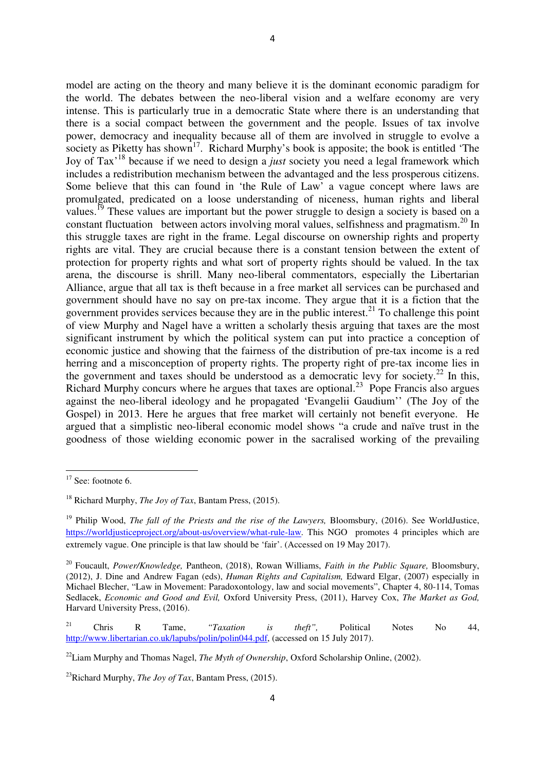model are acting on the theory and many believe it is the dominant economic paradigm for the world. The debates between the neo-liberal vision and a welfare economy are very intense. This is particularly true in a democratic State where there is an understanding that there is a social compact between the government and the people. Issues of tax involve power, democracy and inequality because all of them are involved in struggle to evolve a society as Piketty has shown<sup>17</sup>. Richard Murphy's book is apposite; the book is entitled 'The Joy of Tax'<sup>18</sup> because if we need to design a *just* society you need a legal framework which includes a redistribution mechanism between the advantaged and the less prosperous citizens. Some believe that this can found in 'the Rule of Law' a vague concept where laws are promulgated, predicated on a loose understanding of niceness, human rights and liberal values.<sup>19</sup> These values are important but the power struggle to design a society is based on a constant fluctuation between actors involving moral values, selfishness and pragmatism.<sup>20</sup> In this struggle taxes are right in the frame. Legal discourse on ownership rights and property rights are vital. They are crucial because there is a constant tension between the extent of protection for property rights and what sort of property rights should be valued. In the tax arena, the discourse is shrill. Many neo-liberal commentators, especially the Libertarian Alliance, argue that all tax is theft because in a free market all services can be purchased and government should have no say on pre-tax income. They argue that it is a fiction that the government provides services because they are in the public interest.<sup>21</sup> To challenge this point of view Murphy and Nagel have a written a scholarly thesis arguing that taxes are the most significant instrument by which the political system can put into practice a conception of economic justice and showing that the fairness of the distribution of pre-tax income is a red herring and a misconception of property rights. The property right of pre-tax income lies in the government and taxes should be understood as a democratic levy for society.<sup>22</sup> In this, Richard Murphy concurs where he argues that taxes are optional.<sup>23</sup> Pope Francis also argues against the neo-liberal ideology and he propagated 'Evangelii Gaudium'' (The Joy of the Gospel) in 2013. Here he argues that free market will certainly not benefit everyone. He argued that a simplistic neo-liberal economic model shows "a crude and naïve trust in the goodness of those wielding economic power in the sacralised working of the prevailing

l

 $17$  See: footnote 6.

<sup>18</sup> Richard Murphy, *The Joy of Tax*, Bantam Press, (2015).

<sup>&</sup>lt;sup>19</sup> Philip Wood, *The fall of the Priests and the rise of the Lawyers*, Bloomsbury, (2016). See WorldJustice, https://worldjusticeproject.org/about-us/overview/what-rule-law. This NGO promotes 4 principles which are extremely vague. One principle is that law should be 'fair'. (Accessed on 19 May 2017).

<sup>20</sup> Foucault, *Power/Knowledge,* Pantheon, (2018), Rowan Williams, *Faith in the Public Square,* Bloomsbury, (2012), J. Dine and Andrew Fagan (eds), *Human Rights and Capitalism,* Edward Elgar, (2007) especially in Michael Blecher, "Law in Movement: Paradoxontology, law and social movements", Chapter 4, 80-114, Tomas Sedlacek, *Economic and Good and Evil,* Oxford University Press, (2011), Harvey Cox, *The Market as God,*  Harvard University Press, (2016).

<sup>21</sup> Chris R Tame, *"Taxation is theft",* Political Notes No 44, http://www.libertarian.co.uk/lapubs/polin/polin044.pdf, (accessed on 15 July 2017).

<sup>&</sup>lt;sup>22</sup>Liam Murphy and Thomas Nagel, *The Myth of Ownership*, Oxford Scholarship Online, (2002).

<sup>23</sup>Richard Murphy, *The Joy of Tax*, Bantam Press, (2015).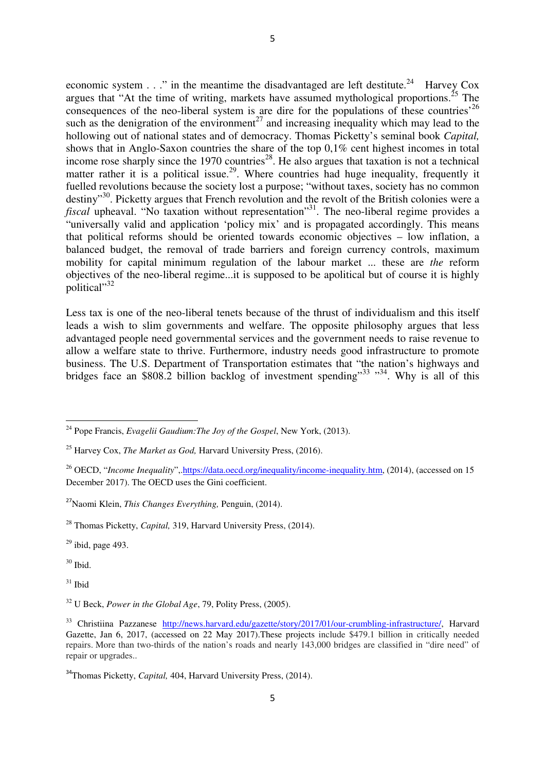economic system  $\ldots$  " in the meantime the disadvantaged are left destitute.<sup>24</sup> Harvey Cox argues that "At the time of writing, markets have assumed mythological proportions.<sup>25</sup> The consequences of the neo-liberal system is are dire for the populations of these countries<sup>'26</sup> such as the denigration of the environment<sup>27</sup> and increasing inequality which may lead to the hollowing out of national states and of democracy. Thomas Picketty's seminal book *Capital,*  shows that in Anglo-Saxon countries the share of the top 0,1% cent highest incomes in total income rose sharply since the 1970 countries<sup>28</sup>. He also argues that taxation is not a technical matter rather it is a political issue.<sup>29</sup>. Where countries had huge inequality, frequently it fuelled revolutions because the society lost a purpose; "without taxes, society has no common destiny<sup>30</sup>. Picketty argues that French revolution and the revolt of the British colonies were a *fiscal* upheaval. "No taxation without representation"<sup>31</sup>. The neo-liberal regime provides a "universally valid and application 'policy mix' and is propagated accordingly. This means that political reforms should be oriented towards economic objectives – low inflation, a balanced budget, the removal of trade barriers and foreign currency controls, maximum mobility for capital minimum regulation of the labour market ... these are *the* reform objectives of the neo-liberal regime...it is supposed to be apolitical but of course it is highly political"<sup>32</sup>

Less tax is one of the neo-liberal tenets because of the thrust of individualism and this itself leads a wish to slim governments and welfare. The opposite philosophy argues that less advantaged people need governmental services and the government needs to raise revenue to allow a welfare state to thrive. Furthermore, industry needs good infrastructure to promote business. The U.S. Department of Transportation estimates that "the nation's highways and bridges face an \$808.2 billion backlog of investment spending"<sup>33</sup> "<sup>34</sup>. Why is all of this

 $29$  ibid, page 493.

 $30$  Ibid.

 $\overline{a}$ 

 $31$  Ibid

<sup>24</sup> Pope Francis, *Evagelii Gaudium:The Joy of the Gospel*, New York, (2013).

<sup>25</sup> Harvey Cox, *The Market as God,* Harvard University Press, (2016).

<sup>&</sup>lt;sup>26</sup> OECD, "*Income Inequality*", https://data.oecd.org/inequality/income-inequality.htm, (2014), (accessed on 15 December 2017). The OECD uses the Gini coefficient.

<sup>27</sup>Naomi Klein, *This Changes Everything,* Penguin, (2014).

<sup>28</sup> Thomas Picketty, *Capital,* 319, Harvard University Press, (2014).

<sup>32</sup> U Beck, *Power in the Global Age*, 79, Polity Press, (2005).

<sup>&</sup>lt;sup>33</sup> Christiina Pazzanese http://news.harvard.edu/gazette/story/2017/01/our-crumbling-infrastructure/, Harvard Gazette, Jan 6, 2017, (accessed on 22 May 2017).These projects include \$479.1 billion in critically needed repairs. More than two-thirds of the nation's roads and nearly 143,000 bridges are classified in "dire need" of repair or upgrades..

<sup>&</sup>lt;sup>34</sup>Thomas Picketty, *Capital*, 404, Harvard University Press, (2014).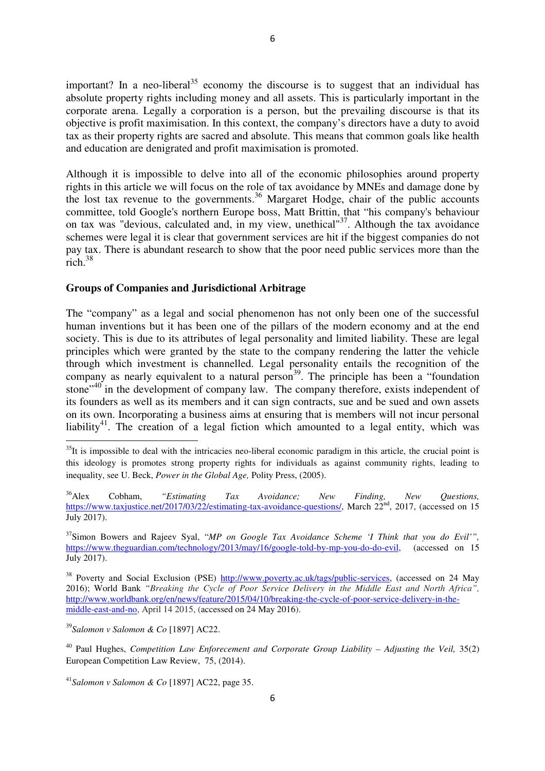important? In a neo-liberal<sup>35</sup> economy the discourse is to suggest that an individual has absolute property rights including money and all assets. This is particularly important in the corporate arena. Legally a corporation is a person, but the prevailing discourse is that its objective is profit maximisation. In this context, the company's directors have a duty to avoid tax as their property rights are sacred and absolute. This means that common goals like health and education are denigrated and profit maximisation is promoted.

Although it is impossible to delve into all of the economic philosophies around property rights in this article we will focus on the role of tax avoidance by MNEs and damage done by the lost tax revenue to the governments.<sup>36</sup> Margaret Hodge, chair of the public accounts committee, told Google's northern Europe boss, Matt Brittin, that "his company's behaviour on tax was "devious, calculated and, in my view, unethical" $37$ . Although the tax avoidance schemes were legal it is clear that government services are hit if the biggest companies do not pay tax. There is abundant research to show that the poor need public services more than the rich. $38$ 

# **Groups of Companies and Jurisdictional Arbitrage**

The "company" as a legal and social phenomenon has not only been one of the successful human inventions but it has been one of the pillars of the modern economy and at the end society. This is due to its attributes of legal personality and limited liability. These are legal principles which were granted by the state to the company rendering the latter the vehicle through which investment is channelled. Legal personality entails the recognition of the company as nearly equivalent to a natural person<sup>39</sup>. The principle has been a "foundation" stone"<sup>40</sup> in the development of company law. The company therefore, exists independent of its founders as well as its members and it can sign contracts, sue and be sued and own assets on its own. Incorporating a business aims at ensuring that is members will not incur personal liability<sup>41</sup>. The creation of a legal fiction which amounted to a legal entity, which was

 $35$ It is impossible to deal with the intricacies neo-liberal economic paradigm in this article, the crucial point is this ideology is promotes strong property rights for individuals as against community rights, leading to inequality, see U. Beck, *Power in the Global Age,* Polity Press, (2005).

<sup>36</sup>Alex Cobham, *"Estimating Tax Avoidance; New Finding, New Questions,* https://www.taxjustice.net/2017/03/22/estimating-tax-avoidance-questions/, March 22<sup>nd</sup>, 2017, (accessed on 15 July 2017).

<sup>37</sup>Simon Bowers and Rajeev Syal, "*MP on Google Tax Avoidance Scheme 'I Think that you do Evil'",* https://www.theguardian.com/technology/2013/may/16/google-told-by-mp-you-do-do-evil, (accessed on 15 July 2017).

<sup>&</sup>lt;sup>38</sup> Poverty and Social Exclusion (PSE) http://www.poverty.ac.uk/tags/public-services, (accessed on 24 May 2016); World Bank *"Breaking the Cycle of Poor Service Delivery in the Middle East and North Africa",* http://www.worldbank.org/en/news/feature/2015/04/10/breaking-the-cycle-of-poor-service-delivery-in-themiddle-east-and-no, April 14 2015, (accessed on 24 May 2016).

<sup>39</sup>*Salomon v Salomon & Co* [1897] AC22.

<sup>40</sup> Paul Hughes, *Competition Law Enforecement and Corporate Group Liability – Adjusting the Veil,* 35(2) European Competition Law Review, 75, (2014).

<sup>41</sup>*Salomon v Salomon & Co* [1897] AC22, page 35.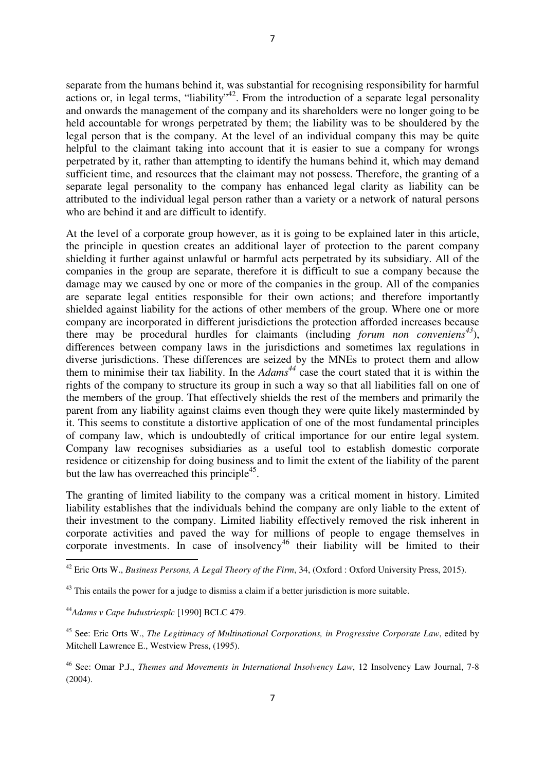separate from the humans behind it, was substantial for recognising responsibility for harmful actions or, in legal terms, "liability"<sup>42</sup>. From the introduction of a separate legal personality and onwards the management of the company and its shareholders were no longer going to be held accountable for wrongs perpetrated by them; the liability was to be shouldered by the legal person that is the company. At the level of an individual company this may be quite helpful to the claimant taking into account that it is easier to sue a company for wrongs perpetrated by it, rather than attempting to identify the humans behind it, which may demand sufficient time, and resources that the claimant may not possess. Therefore, the granting of a separate legal personality to the company has enhanced legal clarity as liability can be attributed to the individual legal person rather than a variety or a network of natural persons who are behind it and are difficult to identify.

At the level of a corporate group however, as it is going to be explained later in this article, the principle in question creates an additional layer of protection to the parent company shielding it further against unlawful or harmful acts perpetrated by its subsidiary. All of the companies in the group are separate, therefore it is difficult to sue a company because the damage may we caused by one or more of the companies in the group. All of the companies are separate legal entities responsible for their own actions; and therefore importantly shielded against liability for the actions of other members of the group. Where one or more company are incorporated in different jurisdictions the protection afforded increases because there may be procedural hurdles for claimants (including *forum non conveniens<sup>43</sup>*), differences between company laws in the jurisdictions and sometimes lax regulations in diverse jurisdictions. These differences are seized by the MNEs to protect them and allow them to minimise their tax liability. In the *Adams<sup>44</sup>* case the court stated that it is within the rights of the company to structure its group in such a way so that all liabilities fall on one of the members of the group. That effectively shields the rest of the members and primarily the parent from any liability against claims even though they were quite likely masterminded by it. This seems to constitute a distortive application of one of the most fundamental principles of company law, which is undoubtedly of critical importance for our entire legal system. Company law recognises subsidiaries as a useful tool to establish domestic corporate residence or citizenship for doing business and to limit the extent of the liability of the parent but the law has overreached this principle<sup>45</sup>.

The granting of limited liability to the company was a critical moment in history. Limited liability establishes that the individuals behind the company are only liable to the extent of their investment to the company. Limited liability effectively removed the risk inherent in corporate activities and paved the way for millions of people to engage themselves in corporate investments. In case of insolvency<sup>46</sup> their liability will be limited to their

<sup>42</sup> Eric Orts W., *Business Persons, A Legal Theory of the Firm*, 34, (Oxford : Oxford University Press, 2015).

 $43$  This entails the power for a judge to dismiss a claim if a better jurisdiction is more suitable.

<sup>44</sup>*Adams v Cape Industriesplc* [1990] BCLC 479.

<sup>45</sup> See: Eric Orts W., *The Legitimacy of Multinational Corporations, in Progressive Corporate Law*, edited by Mitchell Lawrence E., Westview Press, (1995).

<sup>46</sup> See: Omar P.J., *Themes and Movements in International Insolvency Law*, 12 Insolvency Law Journal, 7-8 (2004).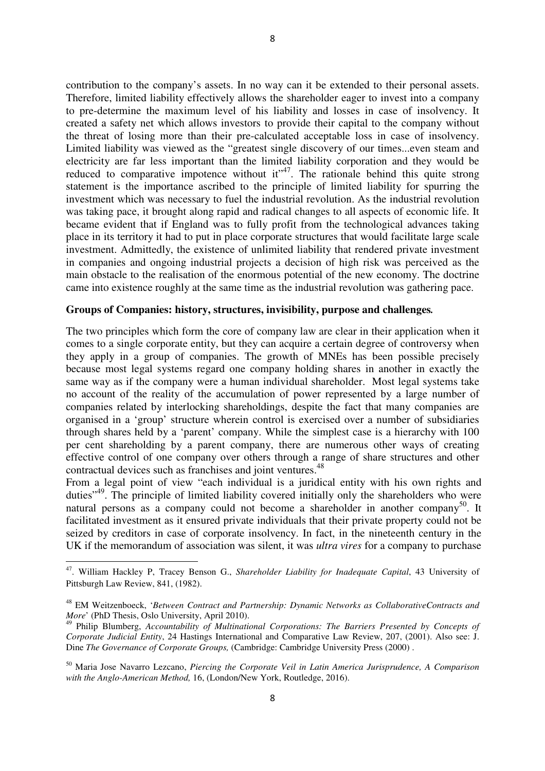contribution to the company's assets. In no way can it be extended to their personal assets. Therefore, limited liability effectively allows the shareholder eager to invest into a company to pre-determine the maximum level of his liability and losses in case of insolvency. It created a safety net which allows investors to provide their capital to the company without the threat of losing more than their pre-calculated acceptable loss in case of insolvency. Limited liability was viewed as the "greatest single discovery of our times...even steam and electricity are far less important than the limited liability corporation and they would be reduced to comparative impotence without  $it^{47}$ . The rationale behind this quite strong statement is the importance ascribed to the principle of limited liability for spurring the investment which was necessary to fuel the industrial revolution. As the industrial revolution was taking pace, it brought along rapid and radical changes to all aspects of economic life. It became evident that if England was to fully profit from the technological advances taking place in its territory it had to put in place corporate structures that would facilitate large scale investment. Admittedly, the existence of unlimited liability that rendered private investment in companies and ongoing industrial projects a decision of high risk was perceived as the main obstacle to the realisation of the enormous potential of the new economy. The doctrine came into existence roughly at the same time as the industrial revolution was gathering pace.

## **Groups of Companies: history, structures, invisibility, purpose and challenges***.*

The two principles which form the core of company law are clear in their application when it comes to a single corporate entity, but they can acquire a certain degree of controversy when they apply in a group of companies. The growth of MNEs has been possible precisely because most legal systems regard one company holding shares in another in exactly the same way as if the company were a human individual shareholder. Most legal systems take no account of the reality of the accumulation of power represented by a large number of companies related by interlocking shareholdings, despite the fact that many companies are organised in a 'group' structure wherein control is exercised over a number of subsidiaries through shares held by a 'parent' company. While the simplest case is a hierarchy with 100 per cent shareholding by a parent company, there are numerous other ways of creating effective control of one company over others through a range of share structures and other contractual devices such as franchises and joint ventures.<sup>48</sup>

From a legal point of view "each individual is a juridical entity with his own rights and duties"<sup>49</sup>. The principle of limited liability covered initially only the shareholders who were natural persons as a company could not become a shareholder in another company<sup>50</sup>. It facilitated investment as it ensured private individuals that their private property could not be seized by creditors in case of corporate insolvency. In fact, in the nineteenth century in the UK if the memorandum of association was silent, it was *ultra vires* for a company to purchase

<sup>47</sup>. William Hackley P, Tracey Benson G., *Shareholder Liability for Inadequate Capital*, 43 University of Pittsburgh Law Review, 841, (1982).

<sup>48</sup> EM Weitzenboeck, '*Between Contract and Partnership: Dynamic Networks as CollaborativeContracts and More*' (PhD Thesis, Oslo University, April 2010).

<sup>49</sup> Philip Blumberg, *Accountability of Multinational Corporations: The Barriers Presented by Concepts of Corporate Judicial Entity*, 24 Hastings International and Comparative Law Review, 207, (2001). Also see: J. Dine *The Governance of Corporate Groups,* (Cambridge: Cambridge University Press (2000) .

<sup>50</sup> Maria Jose Navarro Lezcano, *Piercing the Corporate Veil in Latin America Jurisprudence, A Comparison with the Anglo-American Method,* 16, (London/New York, Routledge, 2016).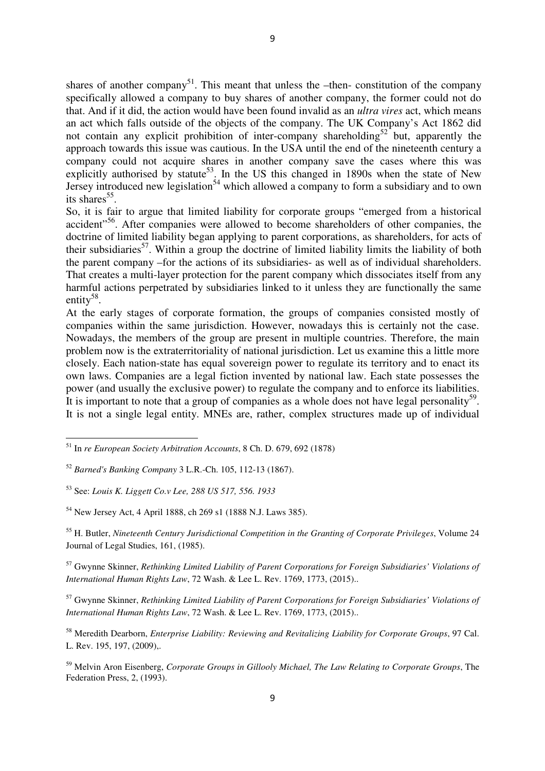shares of another company<sup>51</sup>. This meant that unless the –then- constitution of the company specifically allowed a company to buy shares of another company, the former could not do that. And if it did, the action would have been found invalid as an *ultra vires* act, which means an act which falls outside of the objects of the company. The UK Company's Act 1862 did not contain any explicit prohibition of inter-company shareholding<sup>52</sup> but, apparently the approach towards this issue was cautious. In the USA until the end of the nineteenth century a company could not acquire shares in another company save the cases where this was explicitly authorised by statute<sup>53</sup>. In the US this changed in 1890s when the state of New Jersey introduced new legislation<sup>54</sup> which allowed a company to form a subsidiary and to own its shares<sup>55</sup>.

So, it is fair to argue that limited liability for corporate groups "emerged from a historical accident<sup>"56</sup>. After companies were allowed to become shareholders of other companies, the doctrine of limited liability began applying to parent corporations, as shareholders, for acts of their subsidiaries<sup>57</sup>. Within a group the doctrine of limited liability limits the liability of both the parent company –for the actions of its subsidiaries- as well as of individual shareholders. That creates a multi-layer protection for the parent company which dissociates itself from any harmful actions perpetrated by subsidiaries linked to it unless they are functionally the same entity<sup>58</sup>.

At the early stages of corporate formation, the groups of companies consisted mostly of companies within the same jurisdiction. However, nowadays this is certainly not the case. Nowadays, the members of the group are present in multiple countries. Therefore, the main problem now is the extraterritoriality of national jurisdiction. Let us examine this a little more closely. Each nation-state has equal sovereign power to regulate its territory and to enact its own laws. Companies are a legal fiction invented by national law. Each state possesses the power (and usually the exclusive power) to regulate the company and to enforce its liabilities. It is important to note that a group of companies as a whole does not have legal personality<sup>59</sup>. It is not a single legal entity. MNEs are, rather, complex structures made up of individual

l

<sup>54</sup> New Jersey Act, 4 April 1888, ch 269 s1 (1888 N.J. Laws 385).

<sup>55</sup> H. Butler, *Nineteenth Century Jurisdictional Competition in the Granting of Corporate Privileges*, Volume 24 Journal of Legal Studies, 161, (1985).

<sup>57</sup> Gwynne Skinner, *Rethinking Limited Liability of Parent Corporations for Foreign Subsidiaries' Violations of International Human Rights Law*, 72 Wash. & Lee L. Rev. 1769, 1773, (2015)..

<sup>57</sup> Gwynne Skinner, *Rethinking Limited Liability of Parent Corporations for Foreign Subsidiaries' Violations of International Human Rights Law*, 72 Wash. & Lee L. Rev. 1769, 1773, (2015)..

<sup>58</sup> Meredith Dearborn, *Enterprise Liability: Reviewing and Revitalizing Liability for Corporate Groups*, 97 Cal. L. Rev. 195, 197, (2009),.

<sup>59</sup> Melvin Aron Eisenberg, *Corporate Groups in Gillooly Michael, The Law Relating to Corporate Groups*, The Federation Press, 2, (1993).

<sup>51</sup> In *re European Society Arbitration Accounts*, 8 Ch. D. 679, 692 (1878)

<sup>52</sup> *Barned's Banking Company* 3 L.R.-Ch. 105, 112-13 (1867).

<sup>53</sup> See: *Louis K. Liggett Co.v Lee, 288 US 517, 556. 1933*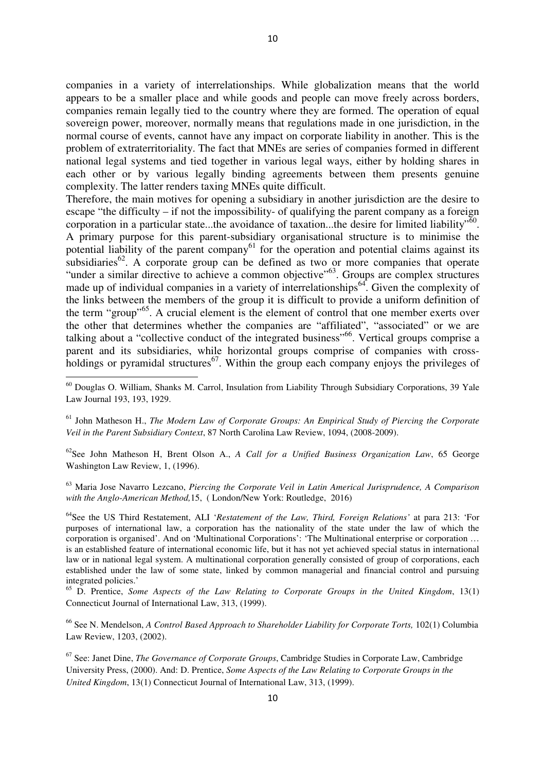companies in a variety of interrelationships. While globalization means that the world appears to be a smaller place and while goods and people can move freely across borders, companies remain legally tied to the country where they are formed. The operation of equal sovereign power, moreover, normally means that regulations made in one jurisdiction, in the normal course of events, cannot have any impact on corporate liability in another. This is the problem of extraterritoriality. The fact that MNEs are series of companies formed in different national legal systems and tied together in various legal ways, either by holding shares in each other or by various legally binding agreements between them presents genuine complexity. The latter renders taxing MNEs quite difficult.

Therefore, the main motives for opening a subsidiary in another jurisdiction are the desire to escape "the difficulty – if not the impossibility- of qualifying the parent company as a foreign corporation in a particular state...the avoidance of taxation...the desire for limited liability<sup> $50$ </sup>. A primary purpose for this parent-subsidiary organisational structure is to minimise the potential liability of the parent company<sup>61</sup> for the operation and potential claims against its subsidiaries<sup>62</sup>. A corporate group can be defined as two or more companies that operate "under a similar directive to achieve a common objective"<sup>63</sup>. Groups are complex structures made up of individual companies in a variety of interrelationships<sup>64</sup>. Given the complexity of the links between the members of the group it is difficult to provide a uniform definition of the term "group"<sup>65</sup>. A crucial element is the element of control that one member exerts over the other that determines whether the companies are "affiliated", "associated" or we are talking about a "collective conduct of the integrated business"<sup>66</sup>. Vertical groups comprise a parent and its subsidiaries, while horizontal groups comprise of companies with crossholdings or pyramidal structures<sup>67</sup>. Within the group each company enjoys the privileges of

<sup>60</sup> Douglas O. William, Shanks M. Carrol, Insulation from Liability Through Subsidiary Corporations, 39 Yale Law Journal 193, 193, 1929.

l

<sup>61</sup> John Matheson H., *The Modern Law of Corporate Groups: An Empirical Study of Piercing the Corporate Veil in the Parent Subsidiary Context*, 87 North Carolina Law Review, 1094, (2008-2009).

<sup>62</sup>See John Matheson H, Brent Olson A., *A Call for a Unified Business Organization Law*, 65 George Washington Law Review, 1, (1996).

<sup>63</sup> Maria Jose Navarro Lezcano, *Piercing the Corporate Veil in Latin Americal Jurisprudence, A Comparison with the Anglo-American Method,*15, ( London/New York: Routledge, 2016)

<sup>64</sup>See the US Third Restatement, ALI '*Restatement of the Law, Third, Foreign Relations'* at para 213: 'For purposes of international law, a corporation has the nationality of the state under the law of which the corporation is organised'. And on 'Multinational Corporations': 'The Multinational enterprise or corporation … is an established feature of international economic life, but it has not yet achieved special status in international law or in national legal system. A multinational corporation generally consisted of group of corporations, each established under the law of some state, linked by common managerial and financial control and pursuing integrated policies.'

<sup>65</sup> D. Prentice, *Some Aspects of the Law Relating to Corporate Groups in the United Kingdom*, 13(1) Connecticut Journal of International Law, 313, (1999).

<sup>66</sup> See N. Mendelson, *A Control Based Approach to Shareholder Liability for Corporate Torts,* 102(1) Columbia Law Review, 1203, (2002).

<sup>67</sup> See: Janet Dine, *The Governance of Corporate Groups*, Cambridge Studies in Corporate Law, Cambridge University Press, (2000). And: D. Prentice, *Some Aspects of the Law Relating to Corporate Groups in the United Kingdom*, 13(1) Connecticut Journal of International Law, 313, (1999).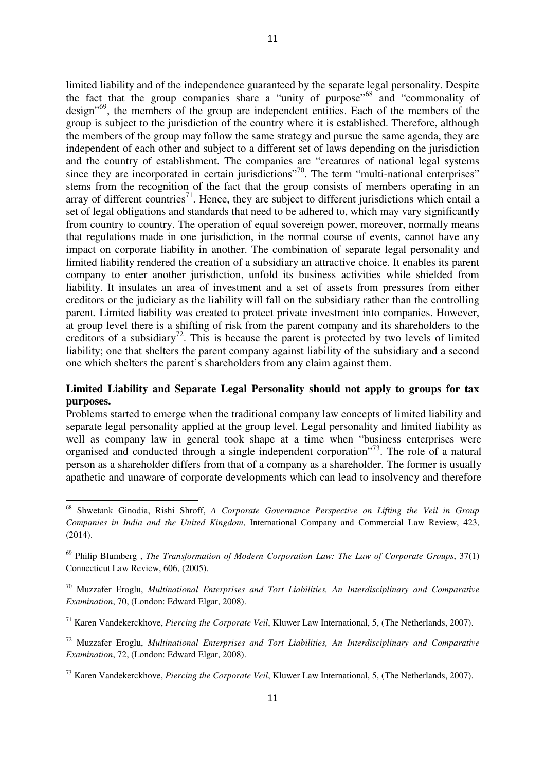limited liability and of the independence guaranteed by the separate legal personality. Despite the fact that the group companies share a "unity of purpose"<sup>68</sup> and "commonality of design<sup>"69</sup>, the members of the group are independent entities. Each of the members of the group is subject to the jurisdiction of the country where it is established. Therefore, although the members of the group may follow the same strategy and pursue the same agenda, they are independent of each other and subject to a different set of laws depending on the jurisdiction and the country of establishment. The companies are "creatures of national legal systems since they are incorporated in certain jurisdictions"<sup>70</sup>. The term "multi-national enterprises" stems from the recognition of the fact that the group consists of members operating in an array of different countries<sup>71</sup>. Hence, they are subject to different jurisdictions which entail a set of legal obligations and standards that need to be adhered to, which may vary significantly from country to country. The operation of equal sovereign power, moreover, normally means that regulations made in one jurisdiction, in the normal course of events, cannot have any impact on corporate liability in another. The combination of separate legal personality and limited liability rendered the creation of a subsidiary an attractive choice. It enables its parent company to enter another jurisdiction, unfold its business activities while shielded from liability. It insulates an area of investment and a set of assets from pressures from either creditors or the judiciary as the liability will fall on the subsidiary rather than the controlling parent. Limited liability was created to protect private investment into companies. However, at group level there is a shifting of risk from the parent company and its shareholders to the creditors of a subsidiary<sup>72</sup>. This is because the parent is protected by two levels of limited liability; one that shelters the parent company against liability of the subsidiary and a second one which shelters the parent's shareholders from any claim against them.

# **Limited Liability and Separate Legal Personality should not apply to groups for tax purposes.**

Problems started to emerge when the traditional company law concepts of limited liability and separate legal personality applied at the group level. Legal personality and limited liability as well as company law in general took shape at a time when "business enterprises were organised and conducted through a single independent corporation"<sup>73</sup>. The role of a natural person as a shareholder differs from that of a company as a shareholder. The former is usually apathetic and unaware of corporate developments which can lead to insolvency and therefore

 $\overline{a}$ 

<sup>68</sup> Shwetank Ginodia, Rishi Shroff, *A Corporate Governance Perspective on Lifting the Veil in Group Companies in India and the United Kingdom*, International Company and Commercial Law Review, 423, (2014).

<sup>69</sup> Philip Blumberg , *The Transformation of Modern Corporation Law: The Law of Corporate Groups*, 37(1) Connecticut Law Review, 606, (2005).

<sup>70</sup> Muzzafer Eroglu, *Multinational Enterprises and Tort Liabilities, An Interdisciplinary and Comparative Examination*, 70, (London: Edward Elgar, 2008).

<sup>71</sup> Karen Vandekerckhove, *Piercing the Corporate Veil*, Kluwer Law International, 5, (The Netherlands, 2007).

<sup>72</sup> Muzzafer Eroglu, *Multinational Enterprises and Tort Liabilities, An Interdisciplinary and Comparative Examination*, 72, (London: Edward Elgar, 2008).

<sup>73</sup> Karen Vandekerckhove, *Piercing the Corporate Veil*, Kluwer Law International, 5, (The Netherlands, 2007).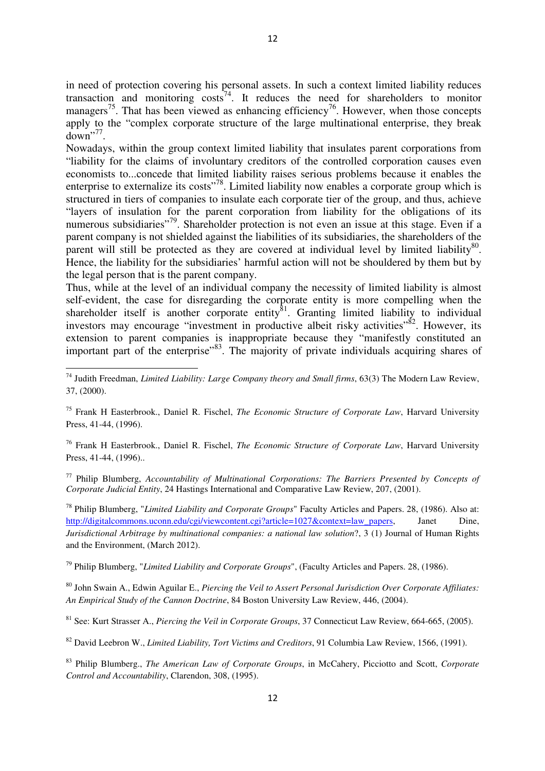in need of protection covering his personal assets. In such a context limited liability reduces transaction and monitoring  $\cos ts^{74}$ . It reduces the need for shareholders to monitor managers<sup>75</sup>. That has been viewed as enhancing efficiency<sup>76</sup>. However, when those concepts apply to the "complex corporate structure of the large multinational enterprise, they break  $down$ <sup> $77$ </sup>.

Nowadays, within the group context limited liability that insulates parent corporations from "liability for the claims of involuntary creditors of the controlled corporation causes even economists to...concede that limited liability raises serious problems because it enables the enterprise to externalize its costs"<sup>78</sup>. Limited liability now enables a corporate group which is structured in tiers of companies to insulate each corporate tier of the group, and thus, achieve "layers of insulation for the parent corporation from liability for the obligations of its numerous subsidiaries"<sup>79</sup>. Shareholder protection is not even an issue at this stage. Even if a parent company is not shielded against the liabilities of its subsidiaries, the shareholders of the parent will still be protected as they are covered at individual level by limited liability<sup>80</sup>. Hence, the liability for the subsidiaries' harmful action will not be shouldered by them but by the legal person that is the parent company.

Thus, while at the level of an individual company the necessity of limited liability is almost self-evident, the case for disregarding the corporate entity is more compelling when the shareholder itself is another corporate entity ${}^{81}$ . Granting limited liability to individual investors may encourage "investment in productive albeit risky activities"<sup>82</sup>. However, its extension to parent companies is inappropriate because they "manifestly constituted an important part of the enterprise"<sup>83</sup>. The majority of private individuals acquiring shares of

l

<sup>75</sup> Frank H Easterbrook., Daniel R. Fischel, *The Economic Structure of Corporate Law*, Harvard University Press, 41-44, (1996).

<sup>76</sup> Frank H Easterbrook., Daniel R. Fischel, *The Economic Structure of Corporate Law*, Harvard University Press, 41-44, (1996)...

<sup>77</sup> Philip Blumberg, *Accountability of Multinational Corporations: The Barriers Presented by Concepts of Corporate Judicial Entity*, 24 Hastings International and Comparative Law Review, 207, (2001).

<sup>78</sup> Philip Blumberg, "*Limited Liability and Corporate Groups*" Faculty Articles and Papers. 28, (1986). Also at: http://digitalcommons.uconn.edu/cgi/viewcontent.cgi?article=1027&context=law\_papers, Janet Dine, *Jurisdictional Arbitrage by multinational companies: a national law solution*?, 3 (1) Journal of Human Rights and the Environment, (March 2012).

<sup>79</sup> Philip Blumberg, "*Limited Liability and Corporate Groups*", (Faculty Articles and Papers. 28, (1986).

<sup>80</sup> John Swain A., Edwin Aguilar E., *Piercing the Veil to Assert Personal Jurisdiction Over Corporate Affiliates: An Empirical Study of the Cannon Doctrine*, 84 Boston University Law Review, 446, (2004).

<sup>81</sup> See: Kurt Strasser A., *Piercing the Veil in Corporate Groups*, 37 Connecticut Law Review, 664-665, (2005).

<sup>82</sup> David Leebron W., *Limited Liability, Tort Victims and Creditors*, 91 Columbia Law Review, 1566, (1991).

<sup>83</sup> Philip Blumberg., *The American Law of Corporate Groups*, in McCahery, Picciotto and Scott, *Corporate Control and Accountability*, Clarendon, 308, (1995).

<sup>74</sup> Judith Freedman, *Limited Liability: Large Company theory and Small firms*, 63(3) The Modern Law Review, 37, (2000).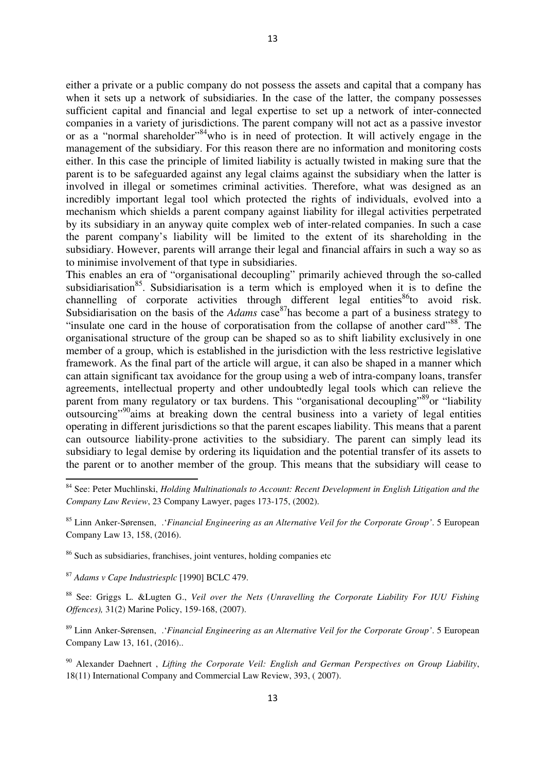either a private or a public company do not possess the assets and capital that a company has when it sets up a network of subsidiaries. In the case of the latter, the company possesses sufficient capital and financial and legal expertise to set up a network of inter-connected companies in a variety of jurisdictions. The parent company will not act as a passive investor or as a "normal shareholder"<sup>84</sup> who is in need of protection. It will actively engage in the management of the subsidiary. For this reason there are no information and monitoring costs either. In this case the principle of limited liability is actually twisted in making sure that the parent is to be safeguarded against any legal claims against the subsidiary when the latter is involved in illegal or sometimes criminal activities. Therefore, what was designed as an incredibly important legal tool which protected the rights of individuals, evolved into a mechanism which shields a parent company against liability for illegal activities perpetrated by its subsidiary in an anyway quite complex web of inter-related companies. In such a case the parent company's liability will be limited to the extent of its shareholding in the subsidiary. However, parents will arrange their legal and financial affairs in such a way so as to minimise involvement of that type in subsidiaries.

This enables an era of "organisational decoupling" primarily achieved through the so-called subsidiarisation<sup>85</sup>. Subsidiarisation is a term which is employed when it is to define the channelling of corporate activities through different legal entities<sup>86</sup>to avoid risk. Subsidiarisation on the basis of the *Adams* case <sup>87</sup>has become a part of a business strategy to "insulate one card in the house of corporatisation from the collapse of another card"<sup>88</sup>. The organisational structure of the group can be shaped so as to shift liability exclusively in one member of a group, which is established in the jurisdiction with the less restrictive legislative framework. As the final part of the article will argue, it can also be shaped in a manner which can attain significant tax avoidance for the group using a web of intra-company loans, transfer agreements, intellectual property and other undoubtedly legal tools which can relieve the parent from many regulatory or tax burdens. This "organisational decoupling"<sup>89</sup>or "liability" outsourcing<sup>"90</sup>aims at breaking down the central business into a variety of legal entities operating in different jurisdictions so that the parent escapes liability. This means that a parent can outsource liability-prone activities to the subsidiary. The parent can simply lead its subsidiary to legal demise by ordering its liquidation and the potential transfer of its assets to the parent or to another member of the group. This means that the subsidiary will cease to

<sup>87</sup> *Adams v Cape Industriesplc* [1990] BCLC 479.

 $\overline{\phantom{0}}$ 

<sup>88</sup> See: Griggs L. &Lugten G., *Veil over the Nets (Unravelling the Corporate Liability For IUU Fishing Offences),* 31(2) Marine Policy, 159-168, (2007).

<sup>89</sup> Linn Anker-Sørensen, .'*Financial Engineering as an Alternative Veil for the Corporate Group'*. 5 European Company Law 13, 161, (2016)..

<sup>90</sup> Alexander Daehnert , *Lifting the Corporate Veil: English and German Perspectives on Group Liability*, 18(11) International Company and Commercial Law Review, 393, ( 2007).

<sup>84</sup> See: Peter Muchlinski, *Holding Multinationals to Account: Recent Development in English Litigation and the Company Law Review*, 23 Company Lawyer, pages 173-175, (2002).

<sup>85</sup> Linn Anker-Sørensen, .'*Financial Engineering as an Alternative Veil for the Corporate Group'*. 5 European Company Law 13, 158, (2016).

<sup>86</sup> Such as subsidiaries, franchises, joint ventures, holding companies etc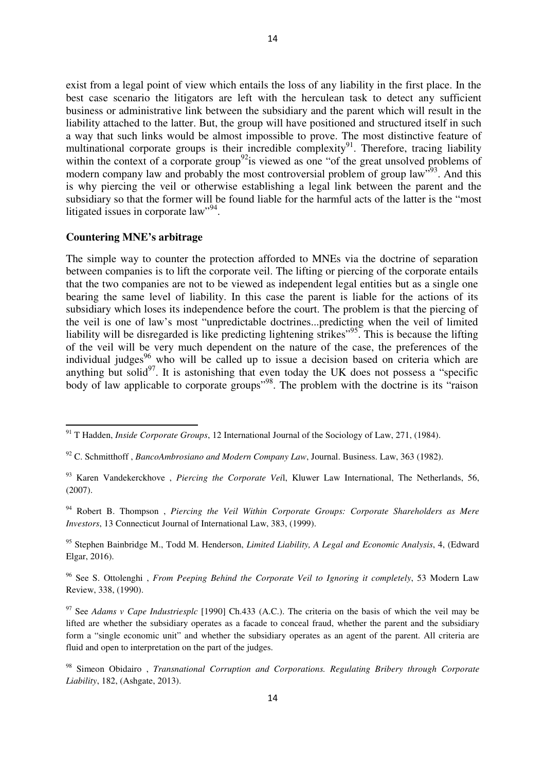exist from a legal point of view which entails the loss of any liability in the first place. In the best case scenario the litigators are left with the herculean task to detect any sufficient business or administrative link between the subsidiary and the parent which will result in the liability attached to the latter. But, the group will have positioned and structured itself in such a way that such links would be almost impossible to prove. The most distinctive feature of multinational corporate groups is their incredible complexity<sup>91</sup>. Therefore, tracing liability within the context of a corporate group<sup>92</sup> is viewed as one "of the great unsolved problems of modern company law and probably the most controversial problem of group law<sup>193</sup>. And this is why piercing the veil or otherwise establishing a legal link between the parent and the subsidiary so that the former will be found liable for the harmful acts of the latter is the "most litigated issues in corporate law",  $94$ .

#### **Countering MNE's arbitrage**

l

The simple way to counter the protection afforded to MNEs via the doctrine of separation between companies is to lift the corporate veil. The lifting or piercing of the corporate entails that the two companies are not to be viewed as independent legal entities but as a single one bearing the same level of liability. In this case the parent is liable for the actions of its subsidiary which loses its independence before the court. The problem is that the piercing of the veil is one of law's most "unpredictable doctrines...predicting when the veil of limited liability will be disregarded is like predicting lightening strikes"<sup>95</sup>. This is because the lifting of the veil will be very much dependent on the nature of the case, the preferences of the individual judges<sup>96</sup> who will be called up to issue a decision based on criteria which are anything but solid $97$ . It is astonishing that even today the UK does not possess a "specific body of law applicable to corporate groups<sup>"98</sup>. The problem with the doctrine is its "raison"

<sup>94</sup> Robert B. Thompson , *Piercing the Veil Within Corporate Groups: Corporate Shareholders as Mere Investors*, 13 Connecticut Journal of International Law, 383, (1999).

<sup>95</sup> Stephen Bainbridge M., Todd M. Henderson, *Limited Liability, A Legal and Economic Analysis*, 4, (Edward Elgar, 2016).

<sup>96</sup> See S. Ottolenghi , *From Peeping Behind the Corporate Veil to Ignoring it completely*, 53 Modern Law Review, 338, (1990).

<sup>97</sup> See *Adams v Cape Industriesplc* [1990] Ch.433 (A.C.). The criteria on the basis of which the veil may be lifted are whether the subsidiary operates as a facade to conceal fraud, whether the parent and the subsidiary form a "single economic unit" and whether the subsidiary operates as an agent of the parent. All criteria are fluid and open to interpretation on the part of the judges.

<sup>98</sup> Simeon Obidairo , *Transnational Corruption and Corporations. Regulating Bribery through Corporate Liability*, 182, (Ashgate, 2013).

<sup>91</sup> T Hadden, *Inside Corporate Groups*, 12 International Journal of the Sociology of Law, 271, (1984).

<sup>92</sup> C. Schmitthoff , *BancoAmbrosiano and Modern Company Law*, Journal. Business. Law, 363 (1982).

<sup>93</sup> Karen Vandekerckhove , *Piercing the Corporate Vei*l, Kluwer Law International, The Netherlands, 56, (2007).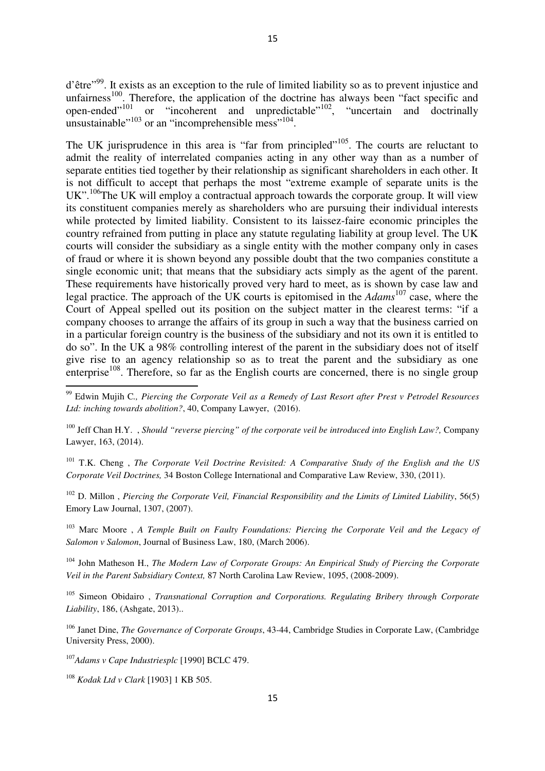d'être"<sup>99</sup>. It exists as an exception to the rule of limited liability so as to prevent injustice and unfairness<sup>100</sup>. Therefore, the application of the doctrine has always been "fact specific and open-ended $101$  or "incoherent and unpredictable"<sup>102</sup>, "uncertain and doctrinally unsustainable"<sup>103</sup> or an "incomprehensible mess"<sup>104</sup>.

The UK jurisprudence in this area is "far from principled"<sup>105</sup>. The courts are reluctant to admit the reality of interrelated companies acting in any other way than as a number of separate entities tied together by their relationship as significant shareholders in each other. It is not difficult to accept that perhaps the most "extreme example of separate units is the  $UK$ <sup>".106</sup>The UK will employ a contractual approach towards the corporate group. It will view its constituent companies merely as shareholders who are pursuing their individual interests while protected by limited liability. Consistent to its laissez-faire economic principles the country refrained from putting in place any statute regulating liability at group level. The UK courts will consider the subsidiary as a single entity with the mother company only in cases of fraud or where it is shown beyond any possible doubt that the two companies constitute a single economic unit; that means that the subsidiary acts simply as the agent of the parent. These requirements have historically proved very hard to meet, as is shown by case law and legal practice. The approach of the UK courts is epitomised in the *Adams*<sup>107</sup> case, where the Court of Appeal spelled out its position on the subject matter in the clearest terms: "if a company chooses to arrange the affairs of its group in such a way that the business carried on in a particular foreign country is the business of the subsidiary and not its own it is entitled to do so". In the UK a 98% controlling interest of the parent in the subsidiary does not of itself give rise to an agency relationship so as to treat the parent and the subsidiary as one enterprise<sup>108</sup>. Therefore, so far as the English courts are concerned, there is no single group

<sup>101</sup> T.K. Cheng , *The Corporate Veil Doctrine Revisited: A Comparative Study of the English and the US Corporate Veil Doctrines,* 34 Boston College International and Comparative Law Review, 330, (2011).

<sup>102</sup> D. Millon , *Piercing the Corporate Veil, Financial Responsibility and the Limits of Limited Liability*, 56(5) Emory Law Journal, 1307, (2007).

<sup>103</sup> Marc Moore , *A Temple Built on Faulty Foundations: Piercing the Corporate Veil and the Legacy of Salomon v Salomon*, Journal of Business Law, 180, (March 2006).

<sup>104</sup> John Matheson H., *The Modern Law of Corporate Groups: An Empirical Study of Piercing the Corporate Veil in the Parent Subsidiary Context,* 87 North Carolina Law Review, 1095, (2008-2009).

<sup>105</sup> Simeon Obidairo , *Transnational Corruption and Corporations. Regulating Bribery through Corporate Liability*, 186, (Ashgate, 2013)..

<sup>106</sup> Janet Dine, *The Governance of Corporate Groups*, 43-44, Cambridge Studies in Corporate Law, (Cambridge University Press, 2000).

<sup>107</sup>*Adams v Cape Industriesplc* [1990] BCLC 479.

<sup>108</sup> *Kodak Ltd v Clark* [1903] 1 KB 505.

 $\overline{a}$ 

<sup>99</sup> Edwin Mujih C*., Piercing the Corporate Veil as a Remedy of Last Resort after Prest v Petrodel Resources Ltd: inching towards abolition?*, 40, Company Lawyer, (2016).

<sup>100</sup> Jeff Chan H.Y. , *Should "reverse piercing" of the corporate veil be introduced into English Law?,* Company Lawyer, 163, (2014).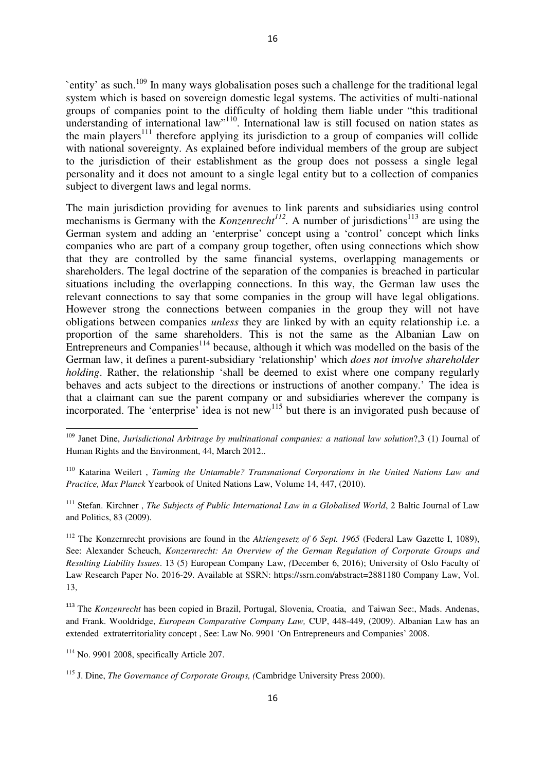`entity' as such.<sup>109</sup> In many ways globalisation poses such a challenge for the traditional legal system which is based on sovereign domestic legal systems. The activities of multi-national groups of companies point to the difficulty of holding them liable under "this traditional understanding of international law"<sup>110</sup>. International law is still focused on nation states as the main players<sup>111</sup> therefore applying its jurisdiction to a group of companies will collide with national sovereignty. As explained before individual members of the group are subject to the jurisdiction of their establishment as the group does not possess a single legal personality and it does not amount to a single legal entity but to a collection of companies subject to divergent laws and legal norms.

The main jurisdiction providing for avenues to link parents and subsidiaries using control mechanisms is Germany with the *Konzenrecht*<sup>112</sup>. A number of jurisdictions<sup>113</sup> are using the German system and adding an 'enterprise' concept using a 'control' concept which links companies who are part of a company group together, often using connections which show that they are controlled by the same financial systems, overlapping managements or shareholders. The legal doctrine of the separation of the companies is breached in particular situations including the overlapping connections. In this way, the German law uses the relevant connections to say that some companies in the group will have legal obligations. However strong the connections between companies in the group they will not have obligations between companies *unless* they are linked by with an equity relationship i.e. a proportion of the same shareholders. This is not the same as the Albanian Law on Entrepreneurs and Companies<sup>114</sup> because, although it which was modelled on the basis of the German law, it defines a parent-subsidiary 'relationship' which *does not involve shareholder holding*. Rather, the relationship 'shall be deemed to exist where one company regularly behaves and acts subject to the directions or instructions of another company.' The idea is that a claimant can sue the parent company or and subsidiaries wherever the company is incorporated. The 'enterprise' idea is not new<sup>115</sup> but there is an invigorated push because of

<sup>111</sup> Stefan. Kirchner, *The Subjects of Public International Law in a Globalised World*, 2 Baltic Journal of Law and Politics, 83 (2009).

<sup>112</sup> The Konzernrecht provisions are found in the *Aktiengesetz of 6 Sept. 1965* (Federal Law Gazette I, 1089), See: Alexander Scheuch, *Konzernrecht: An Overview of the German Regulation of Corporate Groups and Resulting Liability Issues*. 13 (5) European Company Law, *(*December 6, 2016); University of Oslo Faculty of Law Research Paper No. 2016-29. Available at SSRN: https://ssrn.com/abstract=2881180 Company Law, Vol. 13,

<sup>113</sup> The *Konzenrecht* has been copied in Brazil, Portugal, Slovenia, Croatia, and Taiwan See:, Mads. Andenas, and Frank. Wooldridge, *European Comparative Company Law,* CUP, 448-449, (2009). Albanian Law has an extended extraterritoriality concept , See: Law No. 9901 'On Entrepreneurs and Companies' 2008.

<sup>114</sup> No. 9901 2008, specifically Article 207.

<sup>109</sup> Janet Dine, *Jurisdictional Arbitrage by multinational companies: a national law solution*?,3 (1) Journal of Human Rights and the Environment, 44, March 2012..

<sup>110</sup> Katarina Weilert , *Taming the Untamable? Transnational Corporations in the United Nations Law and Practice, Max Planck* Yearbook of United Nations Law, Volume 14, 447, (2010).

<sup>115</sup> J. Dine, *The Governance of Corporate Groups, (*Cambridge University Press 2000).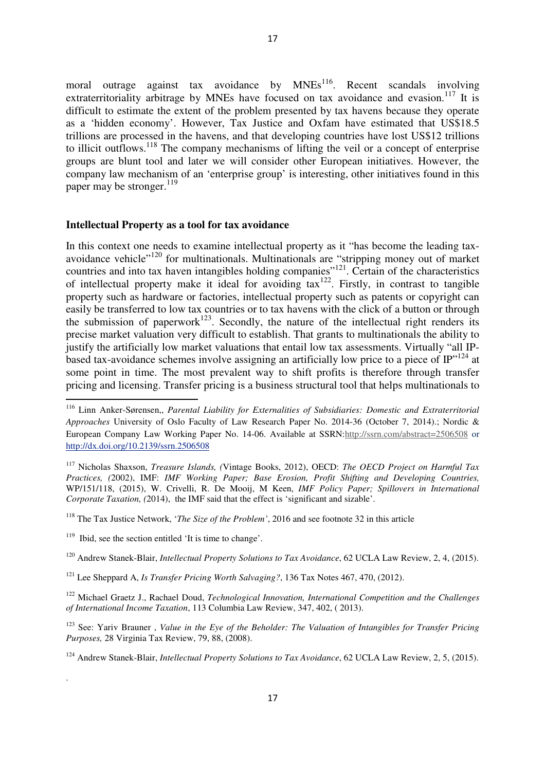17

extraterritoriality arbitrage by MNEs have focused on tax avoidance and evasion.<sup>117</sup> It is difficult to estimate the extent of the problem presented by tax havens because they operate as a 'hidden economy'. However, Tax Justice and Oxfam have estimated that US\$18.5 trillions are processed in the havens, and that developing countries have lost US\$12 trillions to illicit outflows.<sup>118</sup> The company mechanisms of lifting the veil or a concept of enterprise groups are blunt tool and later we will consider other European initiatives. However, the company law mechanism of an 'enterprise group' is interesting, other initiatives found in this paper may be stronger.<sup>119</sup>

### **Intellectual Property as a tool for tax avoidance**

In this context one needs to examine intellectual property as it "has become the leading taxavoidance vehicle"<sup>120</sup> for multinationals. Multinationals are "stripping money out of market countries and into tax haven intangibles holding companies"<sup>121</sup>. Certain of the characteristics of intellectual property make it ideal for avoiding tax<sup>122</sup>. Firstly, in contrast to tangible property such as hardware or factories, intellectual property such as patents or copyright can easily be transferred to low tax countries or to tax havens with the click of a button or through the submission of paperwork<sup>123</sup>. Secondly, the nature of the intellectual right renders its precise market valuation very difficult to establish. That grants to multinationals the ability to justify the artificially low market valuations that entail low tax assessments. Virtually "all IPbased tax-avoidance schemes involve assigning an artificially low price to a piece of  $IP$ <sup>124</sup> at some point in time. The most prevalent way to shift profits is therefore through transfer pricing and licensing. Transfer pricing is a business structural tool that helps multinationals to

 $\overline{\phantom{0}}$ 

.

<sup>116</sup> Linn Anker-Sørensen,, *Parental Liability for Externalities of Subsidiaries: Domestic and Extraterritorial Approaches* University of Oslo Faculty of Law Research Paper No. 2014-36 (October 7, 2014).; Nordic & European Company Law Working Paper No. 14-06. Available at SSRN:http://ssrn.com/abstract=2506508 or http://dx.doi.org/10.2139/ssrn.2506508

<sup>117</sup> Nicholas Shaxson, *Treasure Islands, (*Vintage Books, 2012), OECD: *The OECD Project on Harmful Tax Practices, (*2002), IMF: *IMF Working Paper; Base Erosion, Profit Shifting and Developing Countries,*  WP/151/118, (2015), W. Crivelli, R. De Mooij, M Keen, *IMF Policy Paper; Spillovers in International Corporate Taxation, (*2014), the IMF said that the effect is 'significant and sizable'.

<sup>118</sup> The Tax Justice Network, '*The Size of the Problem'*, 2016 and see footnote 32 in this article

<sup>&</sup>lt;sup>119</sup> Ibid, see the section entitled 'It is time to change'.

<sup>120</sup> Andrew Stanek-Blair, *Intellectual Property Solutions to Tax Avoidance*, 62 UCLA Law Review, 2, 4, (2015).

<sup>121</sup> Lee Sheppard A, *Is Transfer Pricing Worth Salvaging?*, 136 Tax Notes 467, 470, (2012).

<sup>122</sup> Michael Graetz J., Rachael Doud, *Technological Innovation, International Competition and the Challenges of International Income Taxation*, 113 Columbia Law Review, 347, 402, ( 2013).

<sup>123</sup> See: Yariv Brauner , *Value in the Eye of the Beholder: The Valuation of Intangibles for Transfer Pricing Purposes,* 28 Virginia Tax Review, 79, 88, (2008).

<sup>&</sup>lt;sup>124</sup> Andrew Stanek-Blair, *Intellectual Property Solutions to Tax Avoidance*, 62 UCLA Law Review, 2, 5, (2015).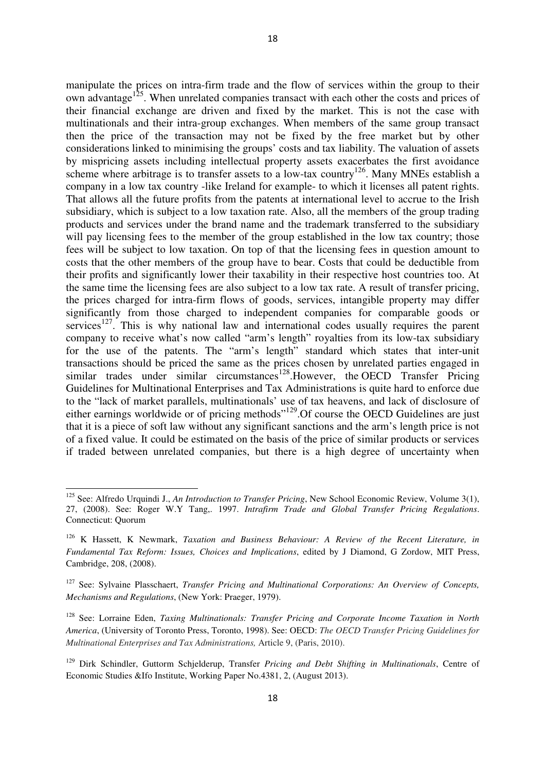manipulate the prices on intra-firm trade and the flow of services within the group to their own advantage<sup>125</sup>. When unrelated companies transact with each other the costs and prices of their financial exchange are driven and fixed by the market. This is not the case with multinationals and their intra-group exchanges. When members of the same group transact then the price of the transaction may not be fixed by the free market but by other considerations linked to minimising the groups' costs and tax liability. The valuation of assets by mispricing assets including intellectual property assets exacerbates the first avoidance scheme where arbitrage is to transfer assets to a low-tax country<sup>126</sup>. Many MNEs establish a company in a low tax country -like Ireland for example- to which it licenses all patent rights. That allows all the future profits from the patents at international level to accrue to the Irish subsidiary, which is subject to a low taxation rate. Also, all the members of the group trading products and services under the brand name and the trademark transferred to the subsidiary will pay licensing fees to the member of the group established in the low tax country; those fees will be subject to low taxation. On top of that the licensing fees in question amount to costs that the other members of the group have to bear. Costs that could be deductible from their profits and significantly lower their taxability in their respective host countries too. At the same time the licensing fees are also subject to a low tax rate. A result of transfer pricing, the prices charged for intra-firm flows of goods, services, intangible property may differ significantly from those charged to independent companies for comparable goods or services<sup>127</sup>. This is why national law and international codes usually requires the parent company to receive what's now called "arm's length" royalties from its low-tax subsidiary for the use of the patents. The "arm's length" standard which states that inter-unit transactions should be priced the same as the prices chosen by unrelated parties engaged in similar trades under similar circumstances<sup>128</sup>.However, the OECD Transfer Pricing Guidelines for Multinational Enterprises and Tax Administrations is quite hard to enforce due to the "lack of market parallels, multinationals' use of tax heavens, and lack of disclosure of either earnings worldwide or of pricing methods"<sup>129</sup>. Of course the OECD Guidelines are just that it is a piece of soft law without any significant sanctions and the arm's length price is not of a fixed value. It could be estimated on the basis of the price of similar products or services if traded between unrelated companies, but there is a high degree of uncertainty when

<sup>&</sup>lt;sup>125</sup> See: Alfredo Urquindi J., *An Introduction to Transfer Pricing*, New School Economic Review, Volume 3(1), 27, (2008). See: Roger W.Y Tang,. 1997. *Intrafirm Trade and Global Transfer Pricing Regulations*. Connecticut: Quorum

<sup>126</sup> K Hassett, K Newmark, *Taxation and Business Behaviour: A Review of the Recent Literature, in Fundamental Tax Reform: Issues, Choices and Implications*, edited by J Diamond, G Zordow, MIT Press, Cambridge, 208, (2008).

<sup>127</sup> See: Sylvaine Plasschaert, *Transfer Pricing and Multinational Corporations: An Overview of Concepts, Mechanisms and Regulations*, (New York: Praeger, 1979).

<sup>128</sup> See: Lorraine Eden, *Taxing Multinationals: Transfer Pricing and Corporate Income Taxation in North America*, (University of Toronto Press, Toronto, 1998). See: OECD: *The OECD Transfer Pricing Guidelines for Multinational Enterprises and Tax Administrations,* Article 9, (Paris, 2010).

<sup>129</sup> Dirk Schindler, Guttorm Schjelderup, Transfer *Pricing and Debt Shifting in Multinationals*, Centre of Economic Studies &Ifo Institute, Working Paper No.4381, 2, (August 2013).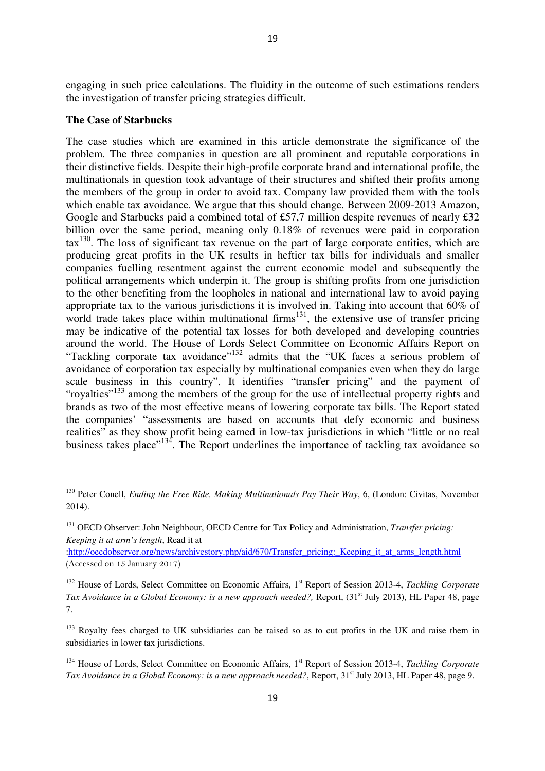engaging in such price calculations. The fluidity in the outcome of such estimations renders the investigation of transfer pricing strategies difficult.

### **The Case of Starbucks**

l

The case studies which are examined in this article demonstrate the significance of the problem. The three companies in question are all prominent and reputable corporations in their distinctive fields. Despite their high-profile corporate brand and international profile, the multinationals in question took advantage of their structures and shifted their profits among the members of the group in order to avoid tax. Company law provided them with the tools which enable tax avoidance. We argue that this should change. Between 2009-2013 Amazon, Google and Starbucks paid a combined total of £57,7 million despite revenues of nearly £32 billion over the same period, meaning only 0.18% of revenues were paid in corporation tax<sup>130</sup>. The loss of significant tax revenue on the part of large corporate entities, which are producing great profits in the UK results in heftier tax bills for individuals and smaller companies fuelling resentment against the current economic model and subsequently the political arrangements which underpin it. The group is shifting profits from one jurisdiction to the other benefiting from the loopholes in national and international law to avoid paying appropriate tax to the various jurisdictions it is involved in. Taking into account that 60% of world trade takes place within multinational firms<sup>131</sup>, the extensive use of transfer pricing may be indicative of the potential tax losses for both developed and developing countries around the world. The House of Lords Select Committee on Economic Affairs Report on "Tackling corporate tax avoidance"<sup>132</sup> admits that the "UK faces a serious problem of avoidance of corporation tax especially by multinational companies even when they do large scale business in this country". It identifies "transfer pricing" and the payment of "royalties"<sup>133</sup> among the members of the group for the use of intellectual property rights and brands as two of the most effective means of lowering corporate tax bills. The Report stated the companies' "assessments are based on accounts that defy economic and business realities" as they show profit being earned in low-tax jurisdictions in which "little or no real business takes place"<sup>134</sup>. The Report underlines the importance of tackling tax avoidance so

:http://oecdobserver.org/news/archivestory.php/aid/670/Transfer\_pricing:\_Keeping\_it\_at\_arms\_length.html (Accessed on 15 January 2017)

<sup>&</sup>lt;sup>130</sup> Peter Conell, *Ending the Free Ride, Making Multinationals Pay Their Way*, 6, (London: Civitas, November 2014).

<sup>131</sup> OECD Observer: John Neighbour, OECD Centre for Tax Policy and Administration, *Transfer pricing: Keeping it at arm's length*, Read it at

<sup>&</sup>lt;sup>132</sup> House of Lords, Select Committee on Economic Affairs, 1<sup>st</sup> Report of Session 2013-4, *Tackling Corporate Tax Avoidance in a Global Economy: is a new approach needed?*, Report, (31<sup>st</sup> July 2013), HL Paper 48, page 7.

<sup>&</sup>lt;sup>133</sup> Royalty fees charged to UK subsidiaries can be raised so as to cut profits in the UK and raise them in subsidiaries in lower tax jurisdictions.

<sup>&</sup>lt;sup>134</sup> House of Lords, Select Committee on Economic Affairs, 1<sup>st</sup> Report of Session 2013-4, *Tackling Corporate Tax Avoidance in a Global Economy: is a new approach needed?*, Report, 31<sup>st</sup> July 2013, HL Paper 48, page 9.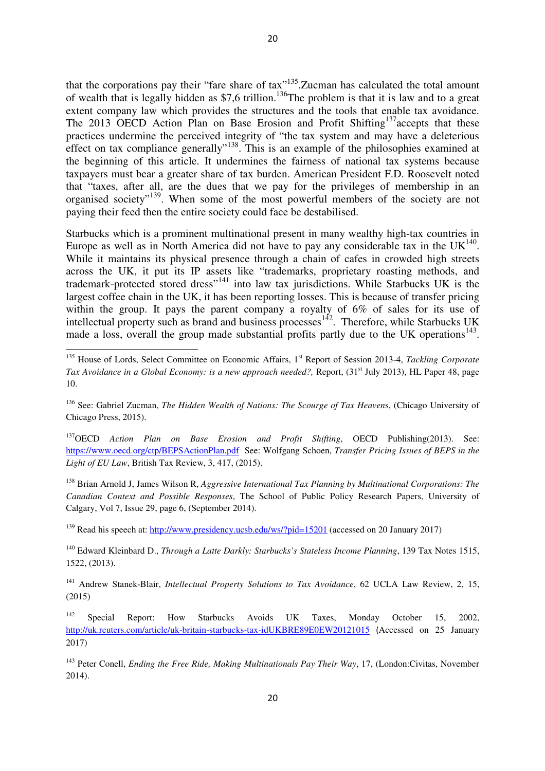that the corporations pay their "fare share of tax"<sup>135</sup>. Zucman has calculated the total amount of wealth that is legally hidden as \$7,6 trillion.<sup>136</sup>The problem is that it is law and to a great extent company law which provides the structures and the tools that enable tax avoidance. The 2013 OECD Action Plan on Base Erosion and Profit Shifting<sup>137</sup>accepts that these practices undermine the perceived integrity of "the tax system and may have a deleterious effect on tax compliance generally"<sup>138</sup>. This is an example of the philosophies examined at the beginning of this article. It undermines the fairness of national tax systems because taxpayers must bear a greater share of tax burden. American President F.D. Roosevelt noted that "taxes, after all, are the dues that we pay for the privileges of membership in an organised society"<sup>139</sup>. When some of the most powerful members of the society are not paying their feed then the entire society could face be destabilised.

Starbucks which is a prominent multinational present in many wealthy high-tax countries in Europe as well as in North America did not have to pay any considerable tax in the  $UK<sup>140</sup>$ . While it maintains its physical presence through a chain of cafes in crowded high streets across the UK, it put its IP assets like "trademarks, proprietary roasting methods, and trademark-protected stored dress"<sup>141</sup> into law tax jurisdictions. While Starbucks UK is the largest coffee chain in the UK, it has been reporting losses. This is because of transfer pricing within the group. It pays the parent company a royalty of 6% of sales for its use of intellectual property such as brand and business processes<sup>142</sup>. Therefore, while Starbucks UK made a loss, overall the group made substantial profits partly due to the UK operations<sup>143</sup>.

l

<sup>137</sup>OECD *Action Plan on Base Erosion and Profit Shifting*, OECD Publishing(2013). See: https://www.oecd.org/ctp/BEPSActionPlan.pdf See: Wolfgang Schoen, *Transfer Pricing Issues of BEPS in the Light of EU Law*, British Tax Review, 3, 417, (2015).

<sup>138</sup> Brian Arnold J, James Wilson R, *Aggressive International Tax Planning by Multinational Corporations: The Canadian Context and Possible Responses*, The School of Public Policy Research Papers, University of Calgary, Vol 7, Issue 29, page 6, (September 2014).

<sup>139</sup> Read his speech at: http://www.presidency.ucsb.edu/ws/?pid=15201 (accessed on 20 January 2017)

<sup>140</sup> Edward Kleinbard D., *Through a Latte Darkly: Starbucks's Stateless Income Planning*, 139 Tax Notes 1515, 1522, (2013).

<sup>141</sup> Andrew Stanek-Blair, *Intellectual Property Solutions to Tax Avoidance*, 62 UCLA Law Review, 2, 15, (2015)

<sup>142</sup> Special Report: How Starbucks Avoids UK Taxes, Monday October 15, 2002, http://uk.reuters.com/article/uk-britain-starbucks-tax-idUKBRE89E0EW20121015 (Accessed on 25 January 2017)

<sup>143</sup> Peter Conell, *Ending the Free Ride, Making Multinationals Pay Their Way*, 17, (London:Civitas, November 2014).

<sup>&</sup>lt;sup>135</sup> House of Lords, Select Committee on Economic Affairs, 1<sup>st</sup> Report of Session 2013-4, *Tackling Corporate Tax Avoidance in a Global Economy: is a new approach needed?*, Report, (31<sup>st</sup> July 2013), HL Paper 48, page 10.

<sup>136</sup> See: Gabriel Zucman, *The Hidden Wealth of Nations: The Scourge of Tax Heaven*s, (Chicago University of Chicago Press, 2015).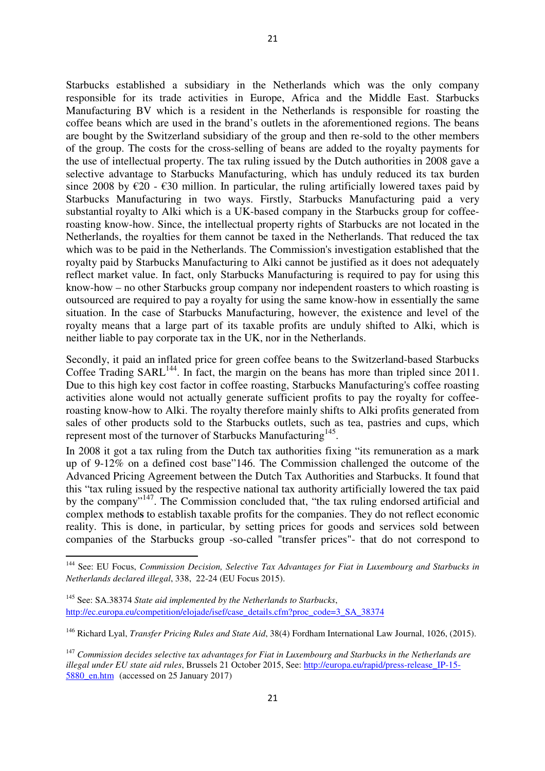Starbucks established a subsidiary in the Netherlands which was the only company responsible for its trade activities in Europe, Africa and the Middle East. Starbucks Manufacturing BV which is a resident in the Netherlands is responsible for roasting the coffee beans which are used in the brand's outlets in the aforementioned regions. The beans are bought by the Switzerland subsidiary of the group and then re-sold to the other members of the group. The costs for the cross-selling of beans are added to the royalty payments for the use of intellectual property. The tax ruling issued by the Dutch authorities in 2008 gave a selective advantage to Starbucks Manufacturing, which has unduly reduced its tax burden since 2008 by  $\epsilon$ 20 -  $\epsilon$ 30 million. In particular, the ruling artificially lowered taxes paid by Starbucks Manufacturing in two ways. Firstly, Starbucks Manufacturing paid a very substantial royalty to Alki which is a UK-based company in the Starbucks group for coffeeroasting know-how. Since, the intellectual property rights of Starbucks are not located in the Netherlands, the royalties for them cannot be taxed in the Netherlands. That reduced the tax which was to be paid in the Netherlands. The Commission's investigation established that the royalty paid by Starbucks Manufacturing to Alki cannot be justified as it does not adequately reflect market value. In fact, only Starbucks Manufacturing is required to pay for using this know-how – no other Starbucks group company nor independent roasters to which roasting is outsourced are required to pay a royalty for using the same know-how in essentially the same situation. In the case of Starbucks Manufacturing, however, the existence and level of the royalty means that a large part of its taxable profits are unduly shifted to Alki, which is neither liable to pay corporate tax in the UK, nor in the Netherlands.

Secondly, it paid an inflated price for green coffee beans to the Switzerland-based Starbucks Coffee Trading  $SARL<sup>144</sup>$ . In fact, the margin on the beans has more than tripled since 2011. Due to this high key cost factor in coffee roasting, Starbucks Manufacturing's coffee roasting activities alone would not actually generate sufficient profits to pay the royalty for coffeeroasting know-how to Alki. The royalty therefore mainly shifts to Alki profits generated from sales of other products sold to the Starbucks outlets, such as tea, pastries and cups, which represent most of the turnover of Starbucks Manufacturing<sup>145</sup>.

In 2008 it got a tax ruling from the Dutch tax authorities fixing "its remuneration as a mark up of 9-12% on a defined cost base"146. The Commission challenged the outcome of the Advanced Pricing Agreement between the Dutch Tax Authorities and Starbucks. It found that this "tax ruling issued by the respective national tax authority artificially lowered the tax paid by the company"<sup>147</sup>. The Commission concluded that, "the tax ruling endorsed artificial and complex method**s** to establish taxable profits for the companies. They do not reflect economic reality. This is done, in particular, by setting prices for goods and services sold between companies of the Starbucks group -so-called "transfer prices"- that do not correspond to

 $\overline{a}$ 

<sup>144</sup> See: EU Focus, *Commission Decision, Selective Tax Advantages for Fiat in Luxembourg and Starbucks in Netherlands declared illegal*, 338, 22-24 (EU Focus 2015).

<sup>145</sup> See: SA.38374 *State aid implemented by the Netherlands to Starbucks*, http://ec.europa.eu/competition/elojade/isef/case\_details.cfm?proc\_code=3\_SA\_38374

<sup>146</sup> Richard Lyal, *Transfer Pricing Rules and State Aid*, 38(4) Fordham International Law Journal, 1026, (2015).

<sup>147</sup> *Commission decides selective tax advantages for Fiat in Luxembourg and Starbucks in the Netherlands are illegal under EU state aid rules*, Brussels 21 October 2015, See: http://europa.eu/rapid/press-release\_IP-15- 5880 en.htm (accessed on 25 January 2017)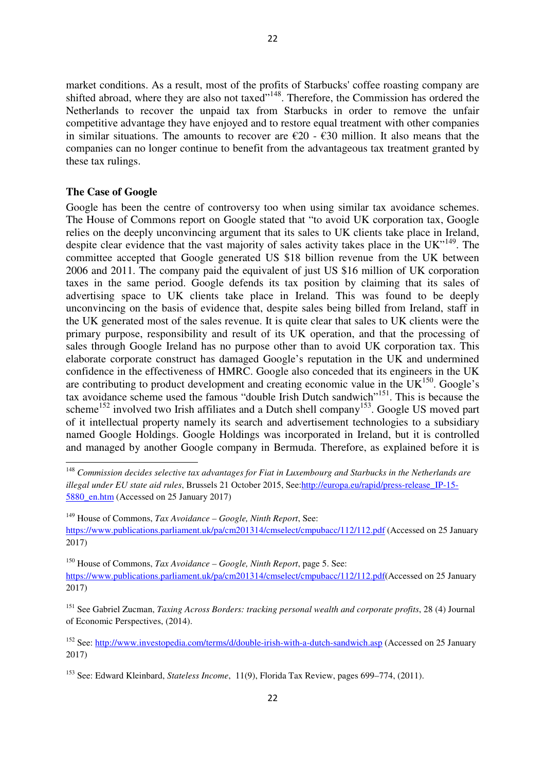market conditions. As a result, most of the profits of Starbucks' coffee roasting company are shifted abroad, where they are also not taxed"<sup>148</sup>. Therefore, the Commission has ordered the Netherlands to recover the unpaid tax from Starbucks in order to remove the unfair competitive advantage they have enjoyed and to restore equal treatment with other companies in similar situations. The amounts to recover are  $\epsilon$ 20 -  $\epsilon$ 30 million. It also means that the companies can no longer continue to benefit from the advantageous tax treatment granted by these tax rulings.

### **The Case of Google**

l

Google has been the centre of controversy too when using similar tax avoidance schemes. The House of Commons report on Google stated that "to avoid UK corporation tax, Google relies on the deeply unconvincing argument that its sales to UK clients take place in Ireland, despite clear evidence that the vast majority of sales activity takes place in the UK"<sup>149</sup>. The committee accepted that Google generated US \$18 billion revenue from the UK between 2006 and 2011. The company paid the equivalent of just US \$16 million of UK corporation taxes in the same period. Google defends its tax position by claiming that its sales of advertising space to UK clients take place in Ireland. This was found to be deeply unconvincing on the basis of evidence that, despite sales being billed from Ireland, staff in the UK generated most of the sales revenue. It is quite clear that sales to UK clients were the primary purpose, responsibility and result of its UK operation, and that the processing of sales through Google Ireland has no purpose other than to avoid UK corporation tax. This elaborate corporate construct has damaged Google's reputation in the UK and undermined confidence in the effectiveness of HMRC. Google also conceded that its engineers in the UK are contributing to product development and creating economic value in the  $UK<sup>150</sup>$ . Google's tax avoidance scheme used the famous "double Irish Dutch sandwich"<sup>151</sup>. This is because the scheme<sup>152</sup> involved two Irish affiliates and a Dutch shell company<sup>153</sup>. Google US moved part of it intellectual property namely its search and advertisement technologies to a subsidiary named Google Holdings. Google Holdings was incorporated in Ireland, but it is controlled and managed by another Google company in Bermuda. Therefore, as explained before it is

<sup>149</sup> House of Commons, *Tax Avoidance – Google, Ninth Report*, See:

https://www.publications.parliament.uk/pa/cm201314/cmselect/cmpubacc/112/112.pdf (Accessed on 25 January 2017)

<sup>150</sup> House of Commons, *Tax Avoidance – Google, Ninth Report*, page 5. See: https://www.publications.parliament.uk/pa/cm201314/cmselect/cmpubacc/112/112.pdf(Accessed on 25 January 2017)

<sup>151</sup> See Gabriel Zucman, *Taxing Across Borders: tracking personal wealth and corporate profits*, 28 (4) Journal of Economic Perspectives, (2014).

<sup>152</sup> See: http://www.investopedia.com/terms/d/double-irish-with-a-dutch-sandwich.asp (Accessed on 25 January 2017)

<sup>148</sup> *Commission decides selective tax advantages for Fiat in Luxembourg and Starbucks in the Netherlands are illegal under EU state aid rules*, Brussels 21 October 2015, See:http://europa.eu/rapid/press-release\_IP-15- 5880 en.htm (Accessed on 25 January 2017)

<sup>153</sup> See: Edward Kleinbard, *Stateless Income*, 11(9), Florida Tax Review, pages 699–774, (2011).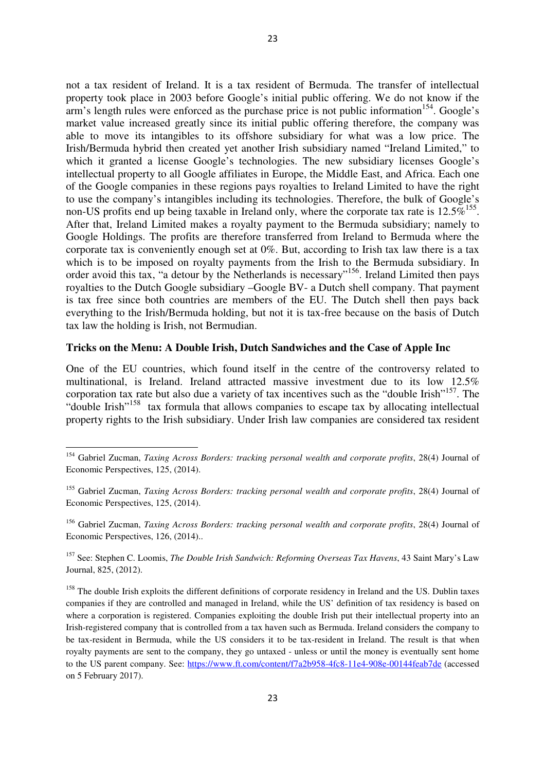not a tax resident of Ireland. It is a tax resident of Bermuda. The transfer of intellectual property took place in 2003 before Google's initial public offering. We do not know if the  $arm's$  length rules were enforced as the purchase price is not public information<sup>154</sup>. Google's market value increased greatly since its initial public offering therefore, the company was able to move its intangibles to its offshore subsidiary for what was a low price. The Irish/Bermuda hybrid then created yet another Irish subsidiary named "Ireland Limited," to which it granted a license Google's technologies. The new subsidiary licenses Google's intellectual property to all Google affiliates in Europe, the Middle East, and Africa. Each one of the Google companies in these regions pays royalties to Ireland Limited to have the right to use the company's intangibles including its technologies. Therefore, the bulk of Google's non-US profits end up being taxable in Ireland only, where the corporate tax rate is  $12.5\%$ <sup>155</sup>. After that, Ireland Limited makes a royalty payment to the Bermuda subsidiary; namely to Google Holdings. The profits are therefore transferred from Ireland to Bermuda where the corporate tax is conveniently enough set at 0%. But, according to Irish tax law there is a tax which is to be imposed on royalty payments from the Irish to the Bermuda subsidiary. In order avoid this tax, "a detour by the Netherlands is necessary"<sup>156</sup>. Ireland Limited then pays royalties to the Dutch Google subsidiary –Google BV- a Dutch shell company. That payment is tax free since both countries are members of the EU. The Dutch shell then pays back everything to the Irish/Bermuda holding, but not it is tax-free because on the basis of Dutch tax law the holding is Irish, not Bermudian.

# **Tricks on the Menu: A Double Irish, Dutch Sandwiches and the Case of Apple Inc**

One of the EU countries, which found itself in the centre of the controversy related to multinational, is Ireland. Ireland attracted massive investment due to its low 12.5% corporation tax rate but also due a variety of tax incentives such as the "double Irish"<sup>157</sup>. The "double Irish"<sup>158</sup> tax formula that allows companies to escape tax by allocating intellectual property rights to the Irish subsidiary. Under Irish law companies are considered tax resident

l

<sup>154</sup> Gabriel Zucman, *Taxing Across Borders: tracking personal wealth and corporate profits*, 28(4) Journal of Economic Perspectives, 125, (2014).

<sup>155</sup> Gabriel Zucman, *Taxing Across Borders: tracking personal wealth and corporate profits*, 28(4) Journal of Economic Perspectives, 125, (2014).

<sup>156</sup> Gabriel Zucman, *Taxing Across Borders: tracking personal wealth and corporate profits*, 28(4) Journal of Economic Perspectives, 126, (2014)..

<sup>157</sup> See: Stephen C. Loomis, *The Double Irish Sandwich: Reforming Overseas Tax Havens*, 43 Saint Mary's Law Journal, 825, (2012).

<sup>&</sup>lt;sup>158</sup> The double Irish exploits the different definitions of corporate residency in Ireland and the US. Dublin taxes companies if they are controlled and managed in Ireland, while the US' definition of tax residency is based on where a corporation is registered. Companies exploiting the double Irish put their intellectual property into an Irish-registered company that is controlled from a tax haven such as Bermuda. Ireland considers the company to be tax-resident in Bermuda, while the US considers it to be tax-resident in Ireland. The result is that when royalty payments are sent to the company, they go untaxed - unless or until the money is eventually sent home to the US parent company. See: https://www.ft.com/content/f7a2b958-4fc8-11e4-908e-00144feab7de (accessed on 5 February 2017).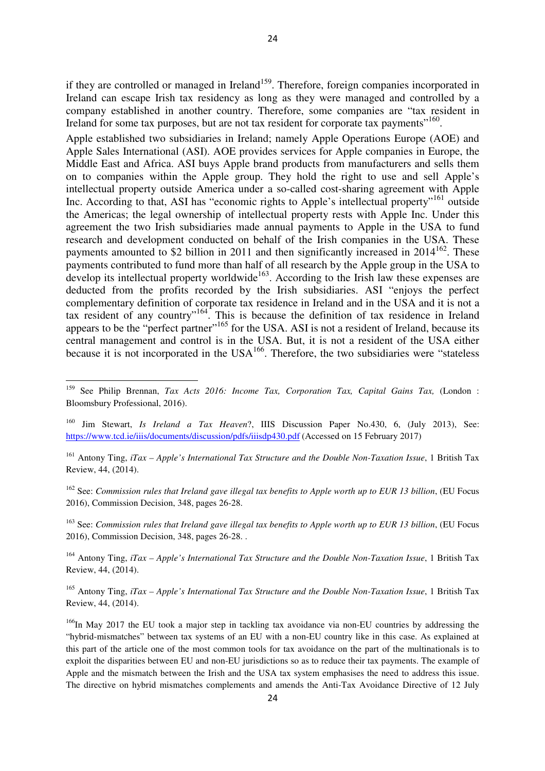Apple established two subsidiaries in Ireland; namely Apple Operations Europe (AOE) and Apple Sales International (ASI). AOE provides services for Apple companies in Europe, the Middle East and Africa. ASI buys Apple brand products from manufacturers and sells them on to companies within the Apple group. They hold the right to use and sell Apple's intellectual property outside America under a so-called cost-sharing agreement with Apple Inc. According to that, ASI has "economic rights to Apple's intellectual property"<sup>161</sup> outside the Americas; the legal ownership of intellectual property rests with Apple Inc. Under this agreement the two Irish subsidiaries made annual payments to Apple in the USA to fund research and development conducted on behalf of the Irish companies in the USA. These payments amounted to \$2 billion in 2011 and then significantly increased in  $2014^{162}$ . These payments contributed to fund more than half of all research by the Apple group in the USA to develop its intellectual property worldwide<sup>163</sup>. According to the Irish law these expenses are deducted from the profits recorded by the Irish subsidiaries. ASI "enjoys the perfect complementary definition of corporate tax residence in Ireland and in the USA and it is not a tax resident of any country"<sup>164</sup>. This is because the definition of tax residence in Ireland appears to be the "perfect partner"<sup>165</sup> for the USA. ASI is not a resident of Ireland, because its central management and control is in the USA. But, it is not a resident of the USA either because it is not incorporated in the  $USA^{166}$ . Therefore, the two subsidiaries were "stateless

 $\overline{\phantom{0}}$ 

<sup>163</sup> See: *Commission rules that Ireland gave illegal tax benefits to Apple worth up to EUR 13 billion*, (EU Focus 2016), Commission Decision, 348, pages 26-28. .

<sup>164</sup> Antony Ting, *iTax – Apple's International Tax Structure and the Double Non-Taxation Issue*, 1 British Tax Review, 44, (2014).

<sup>165</sup> Antony Ting, *iTax – Apple's International Tax Structure and the Double Non-Taxation Issue*, 1 British Tax Review, 44, (2014).

<sup>159</sup> See Philip Brennan, *Tax Acts 2016: Income Tax, Corporation Tax, Capital Gains Tax,* (London : Bloomsbury Professional, 2016).

<sup>160</sup> Jim Stewart, *Is Ireland a Tax Heaven*?, IIIS Discussion Paper No.430, 6, (July 2013), See: https://www.tcd.ie/iiis/documents/discussion/pdfs/iiisdp430.pdf (Accessed on 15 February 2017)

<sup>161</sup> Antony Ting, *iTax – Apple's International Tax Structure and the Double Non-Taxation Issue*, 1 British Tax Review, 44, (2014).

<sup>162</sup> See: *Commission rules that Ireland gave illegal tax benefits to Apple worth up to EUR 13 billion*, (EU Focus 2016), Commission Decision, 348, pages 26-28.

<sup>&</sup>lt;sup>166</sup>In May 2017 the EU took a major step in tackling tax avoidance via non-EU countries by addressing the "hybrid-mismatches" between tax systems of an EU with a non-EU country like in this case. As explained at this part of the article one of the most common tools for tax avoidance on the part of the multinationals is to exploit the disparities between EU and non-EU jurisdictions so as to reduce their tax payments. The example of Apple and the mismatch between the Irish and the USA tax system emphasises the need to address this issue. The directive on hybrid mismatches complements and amends the Anti-Tax Avoidance Directive of 12 July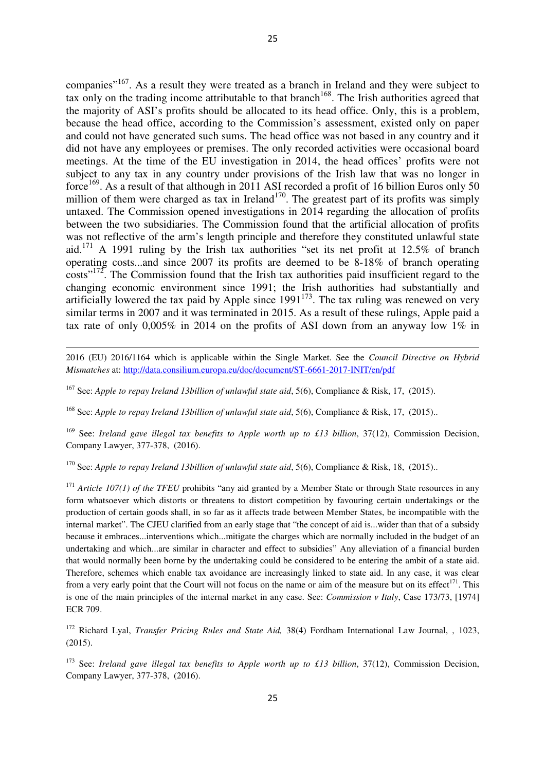companies"<sup>167</sup>. As a result they were treated as a branch in Ireland and they were subject to tax only on the trading income attributable to that branch<sup>168</sup>. The Irish authorities agreed that the majority of ASI's profits should be allocated to its head office. Only, this is a problem, because the head office, according to the Commission's assessment, existed only on paper and could not have generated such sums. The head office was not based in any country and it did not have any employees or premises. The only recorded activities were occasional board meetings. At the time of the EU investigation in 2014, the head offices' profits were not subject to any tax in any country under provisions of the Irish law that was no longer in force<sup>169</sup>. As a result of that although in 2011 ASI recorded a profit of 16 billion Euros only 50 million of them were charged as tax in Ireland<sup>170</sup>. The greatest part of its profits was simply untaxed. The Commission opened investigations in 2014 regarding the allocation of profits between the two subsidiaries. The Commission found that the artificial allocation of profits was not reflective of the arm's length principle and therefore they constituted unlawful state aid.<sup>171</sup> A 1991 ruling by the Irish tax authorities "set its net profit at 12.5% of branch operating costs...and since 2007 its profits are deemed to be 8-18% of branch operating costs"<sup>172</sup>. The Commission found that the Irish tax authorities paid insufficient regard to the changing economic environment since 1991; the Irish authorities had substantially and artificially lowered the tax paid by Apple since  $1991^{173}$ . The tax ruling was renewed on very similar terms in 2007 and it was terminated in 2015. As a result of these rulings, Apple paid a tax rate of only 0,005% in 2014 on the profits of ASI down from an anyway low 1% in

2016 (EU) 2016/1164 which is applicable within the Single Market. See the *Council Directive on Hybrid Mismatches* at: http://data.consilium.europa.eu/doc/document/ST-6661-2017-INIT/en/pdf

<sup>167</sup> See: *Apple to repay Ireland 13billion of unlawful state aid*, 5(6), Compliance & Risk, 17, (2015).

 $\overline{a}$ 

<sup>168</sup> See: *Apple to repay Ireland 13billion of unlawful state aid*, 5(6), Compliance & Risk, 17, (2015)..

<sup>169</sup> See: *Ireland gave illegal tax benefits to Apple worth up to £13 billion*, 37(12), Commission Decision, Company Lawyer, 377-378, (2016).

<sup>170</sup> See: *Apple to repay Ireland 13billion of unlawful state aid*, 5(6), Compliance & Risk, 18, (2015)..

<sup>171</sup> *Article 107(1) of the TFEU* prohibits "any aid granted by a Member State or through State resources in any form whatsoever which distorts or threatens to distort competition by favouring certain undertakings or the production of certain goods shall, in so far as it affects trade between Member States, be incompatible with the internal market". The CJEU clarified from an early stage that "the concept of aid is...wider than that of a subsidy because it embraces...interventions which...mitigate the charges which are normally included in the budget of an undertaking and which...are similar in character and effect to subsidies" Any alleviation of a financial burden that would normally been borne by the undertaking could be considered to be entering the ambit of a state aid. Therefore, schemes which enable tax avoidance are increasingly linked to state aid. In any case, it was clear from a very early point that the Court will not focus on the name or aim of the measure but on its effect<sup>171</sup>. This is one of the main principles of the internal market in any case. See: *Commission v Italy*, Case 173/73, [1974] ECR 709.

<sup>172</sup> Richard Lyal, *Transfer Pricing Rules and State Aid,* 38(4) Fordham International Law Journal, , 1023, (2015).

<sup>173</sup> See: *Ireland gave illegal tax benefits to Apple worth up to £13 billion*, 37(12), Commission Decision, Company Lawyer, 377-378, (2016).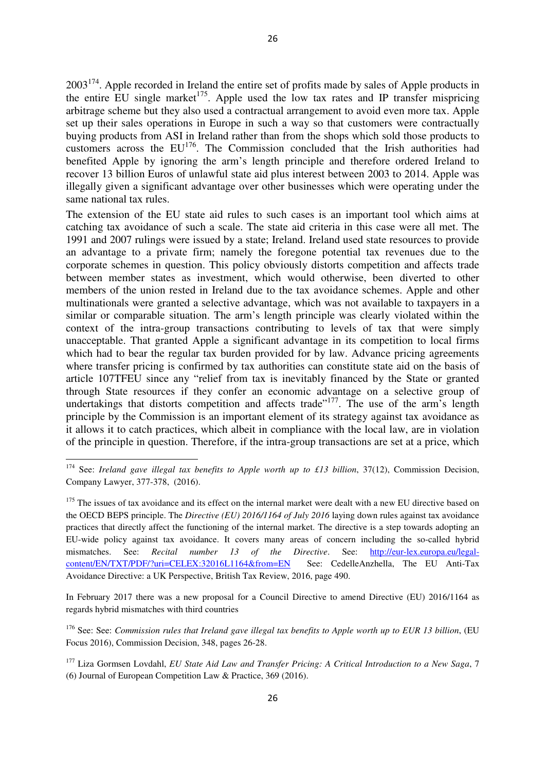$2003^{174}$ . Apple recorded in Ireland the entire set of profits made by sales of Apple products in the entire EU single market<sup>175</sup>. Apple used the low tax rates and IP transfer mispricing arbitrage scheme but they also used a contractual arrangement to avoid even more tax. Apple set up their sales operations in Europe in such a way so that customers were contractually buying products from ASI in Ireland rather than from the shops which sold those products to customers across the EU<sup>176</sup>. The Commission concluded that the Irish authorities had benefited Apple by ignoring the arm's length principle and therefore ordered Ireland to recover 13 billion Euros of unlawful state aid plus interest between 2003 to 2014. Apple was illegally given a significant advantage over other businesses which were operating under the same national tax rules.

The extension of the EU state aid rules to such cases is an important tool which aims at catching tax avoidance of such a scale. The state aid criteria in this case were all met. The 1991 and 2007 rulings were issued by a state; Ireland. Ireland used state resources to provide an advantage to a private firm; namely the foregone potential tax revenues due to the corporate schemes in question. This policy obviously distorts competition and affects trade between member states as investment, which would otherwise, been diverted to other members of the union rested in Ireland due to the tax avoidance schemes. Apple and other multinationals were granted a selective advantage, which was not available to taxpayers in a similar or comparable situation. The arm's length principle was clearly violated within the context of the intra-group transactions contributing to levels of tax that were simply unacceptable. That granted Apple a significant advantage in its competition to local firms which had to bear the regular tax burden provided for by law. Advance pricing agreements where transfer pricing is confirmed by tax authorities can constitute state aid on the basis of article 107TFEU since any "relief from tax is inevitably financed by the State or granted through State resources if they confer an economic advantage on a selective group of undertakings that distorts competition and affects trade"<sup>177</sup>. The use of the arm's length principle by the Commission is an important element of its strategy against tax avoidance as it allows it to catch practices, which albeit in compliance with the local law, are in violation of the principle in question. Therefore, if the intra-group transactions are set at a price, which

 $\overline{a}$ 

In February 2017 there was a new proposal for a Council Directive to amend Directive (EU) 2016/1164 as regards hybrid mismatches with third countries

<sup>176</sup> See: See: *Commission rules that Ireland gave illegal tax benefits to Apple worth up to EUR 13 billion*, (EU Focus 2016), Commission Decision, 348, pages 26-28.

<sup>&</sup>lt;sup>174</sup> See: *Ireland gave illegal tax benefits to Apple worth up to £13 billion*, 37(12), Commission Decision, Company Lawyer, 377-378, (2016).

 $175$  The issues of tax avoidance and its effect on the internal market were dealt with a new EU directive based on the OECD BEPS principle. The *Directive (EU) 2016/1164 of July 2016* laying down rules against tax avoidance practices that directly affect the functioning of the internal market. The directive is a step towards adopting an EU-wide policy against tax avoidance. It covers many areas of concern including the so-called hybrid mismatches. See: *Recital number 13 of the Directive*. See: http://eur-lex.europa.eu/legalcontent/EN/TXT/PDF/?uri=CELEX:32016L1164&from=EN See: CedelleAnzhella, The EU Anti-Tax Avoidance Directive: a UK Perspective, British Tax Review, 2016, page 490.

<sup>177</sup> Liza Gormsen Lovdahl, *EU State Aid Law and Transfer Pricing: A Critical Introduction to a New Saga*, 7 (6) Journal of European Competition Law & Practice, 369 (2016).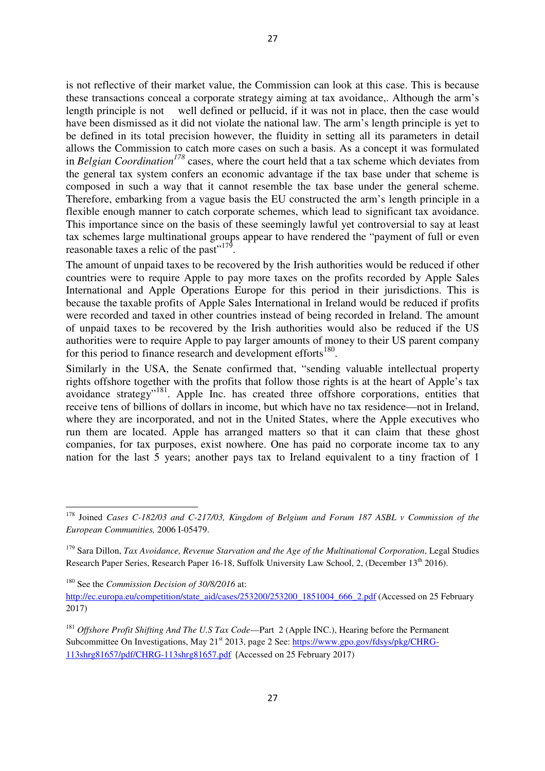is not reflective of their market value, the Commission can look at this case. This is because these transactions conceal a corporate strategy aiming at tax avoidance,. Although the arm's length principle is not well defined or pellucid, if it was not in place, then the case would have been dismissed as it did not violate the national law. The arm's length principle is yet to be defined in its total precision however, the fluidity in setting all its parameters in detail allows the Commission to catch more cases on such a basis. As a concept it was formulated in *Belgian Coordination<sup>178</sup>* cases, where the court held that a tax scheme which deviates from the general tax system confers an economic advantage if the tax base under that scheme is composed in such a way that it cannot resemble the tax base under the general scheme. Therefore, embarking from a vague basis the EU constructed the arm's length principle in a flexible enough manner to catch corporate schemes, which lead to significant tax avoidance. This importance since on the basis of these seemingly lawful yet controversial to say at least tax schemes large multinational groups appear to have rendered the "payment of full or even reasonable taxes a relic of the past" $179$ .

The amount of unpaid taxes to be recovered by the Irish authorities would be reduced if other countries were to require Apple to pay more taxes on the profits recorded by Apple Sales International and Apple Operations Europe for this period in their jurisdictions. This is because the taxable profits of Apple Sales International in Ireland would be reduced if profits were recorded and taxed in other countries instead of being recorded in Ireland. The amount of unpaid taxes to be recovered by the Irish authorities would also be reduced if the US authorities were to require Apple to pay larger amounts of money to their US parent company for this period to finance research and development efforts<sup>180</sup>.

Similarly in the USA, the Senate confirmed that, "sending valuable intellectual property rights offshore together with the profits that follow those rights is at the heart of Apple's tax avoidance strategy"<sup>181</sup>. Apple Inc. has created three offshore corporations, entities that receive tens of billions of dollars in income, but which have no tax residence—not in Ireland, where they are incorporated, and not in the United States, where the Apple executives who run them are located. Apple has arranged matters so that it can claim that these ghost companies, for tax purposes, exist nowhere. One has paid no corporate income tax to any nation for the last 5 years; another pays tax to Ireland equivalent to a tiny fraction of 1

l

<sup>178</sup> Joined *Cases C-182/03 and C-217/03, Kingdom of Belgium and Forum 187 ASBL v Commission of the European Communities,* 2006 I-05479.

<sup>&</sup>lt;sup>179</sup> Sara Dillon, *Tax Avoidance, Revenue Starvation and the Age of the Multinational Corporation*, Legal Studies Research Paper Series, Research Paper 16-18, Suffolk University Law School, 2, (December 13<sup>th</sup> 2016).

<sup>180</sup> See the *Commission Decision of 30/8/2016* at:

http://ec.europa.eu/competition/state\_aid/cases/253200/253200\_1851004\_666\_2.pdf (Accessed on 25 February 2017)

<sup>&</sup>lt;sup>181</sup> *Offshore Profit Shifting And The U.S Tax Code*—Part 2 (Apple INC.), Hearing before the Permanent Subcommittee On Investigations, May 21<sup>st</sup> 2013, page 2 See: https://www.gpo.gov/fdsys/pkg/CHRG-113shrg81657/pdf/CHRG-113shrg81657.pdf (Accessed on 25 February 2017)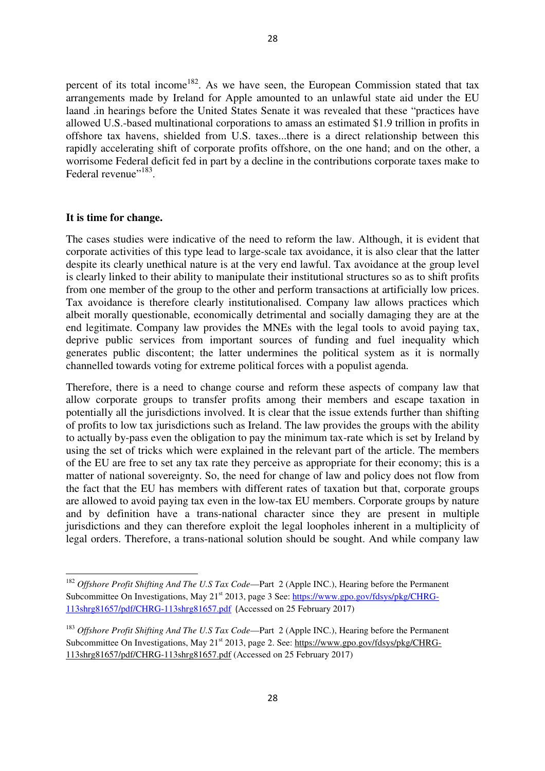percent of its total income<sup>182</sup>. As we have seen, the European Commission stated that tax arrangements made by Ireland for Apple amounted to an unlawful state aid under the EU laand .in hearings before the United States Senate it was revealed that these "practices have allowed U.S.-based multinational corporations to amass an estimated \$1.9 trillion in profits in offshore tax havens, shielded from U.S. taxes...there is a direct relationship between this rapidly accelerating shift of corporate profits offshore, on the one hand; and on the other, a worrisome Federal deficit fed in part by a decline in the contributions corporate taxes make to Federal revenue"<sup>183</sup>.

#### **It is time for change.**

l

The cases studies were indicative of the need to reform the law. Although, it is evident that corporate activities of this type lead to large-scale tax avoidance, it is also clear that the latter despite its clearly unethical nature is at the very end lawful. Tax avoidance at the group level is clearly linked to their ability to manipulate their institutional structures so as to shift profits from one member of the group to the other and perform transactions at artificially low prices. Tax avoidance is therefore clearly institutionalised. Company law allows practices which albeit morally questionable, economically detrimental and socially damaging they are at the end legitimate. Company law provides the MNEs with the legal tools to avoid paying tax, deprive public services from important sources of funding and fuel inequality which generates public discontent; the latter undermines the political system as it is normally channelled towards voting for extreme political forces with a populist agenda.

Therefore, there is a need to change course and reform these aspects of company law that allow corporate groups to transfer profits among their members and escape taxation in potentially all the jurisdictions involved. It is clear that the issue extends further than shifting of profits to low tax jurisdictions such as Ireland. The law provides the groups with the ability to actually by-pass even the obligation to pay the minimum tax-rate which is set by Ireland by using the set of tricks which were explained in the relevant part of the article. The members of the EU are free to set any tax rate they perceive as appropriate for their economy; this is a matter of national sovereignty. So, the need for change of law and policy does not flow from the fact that the EU has members with different rates of taxation but that, corporate groups are allowed to avoid paying tax even in the low-tax EU members. Corporate groups by nature and by definition have a trans-national character since they are present in multiple jurisdictions and they can therefore exploit the legal loopholes inherent in a multiplicity of legal orders. Therefore, a trans-national solution should be sought. And while company law

<sup>&</sup>lt;sup>182</sup> Offshore Profit Shifting And The U.S Tax Code—Part 2 (Apple INC.), Hearing before the Permanent Subcommittee On Investigations, May 21<sup>st</sup> 2013, page 3 See: https://www.gpo.gov/fdsys/pkg/CHRG-113shrg81657/pdf/CHRG-113shrg81657.pdf (Accessed on 25 February 2017)

<sup>&</sup>lt;sup>183</sup> Offshore Profit Shifting And The U.S Tax Code—Part 2 (Apple INC.), Hearing before the Permanent Subcommittee On Investigations, May 21<sup>st</sup> 2013, page 2. See: https://www.gpo.gov/fdsys/pkg/CHRG-113shrg81657/pdf/CHRG-113shrg81657.pdf (Accessed on 25 February 2017)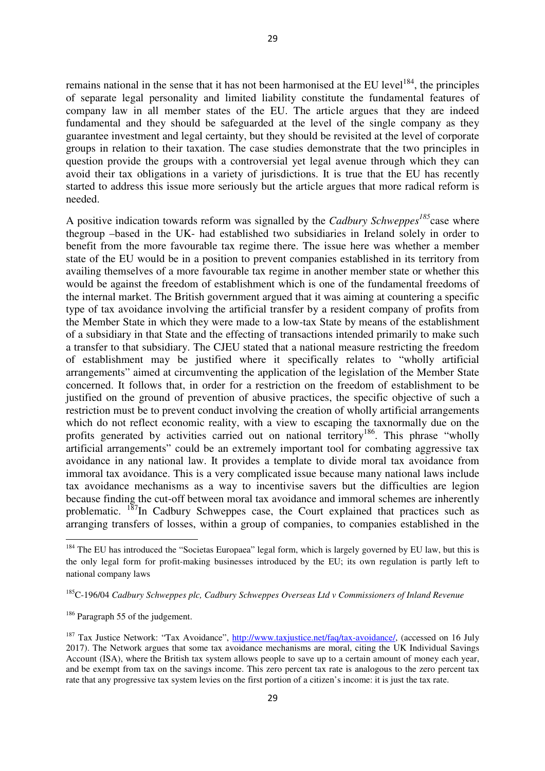remains national in the sense that it has not been harmonised at the EU level<sup>184</sup>, the principles of separate legal personality and limited liability constitute the fundamental features of company law in all member states of the EU. The article argues that they are indeed fundamental and they should be safeguarded at the level of the single company as they guarantee investment and legal certainty, but they should be revisited at the level of corporate groups in relation to their taxation. The case studies demonstrate that the two principles in question provide the groups with a controversial yet legal avenue through which they can avoid their tax obligations in a variety of jurisdictions. It is true that the EU has recently started to address this issue more seriously but the article argues that more radical reform is needed.

A positive indication towards reform was signalled by the *Cadbury Schweppes<sup>185</sup>*case where thegroup –based in the UK- had established two subsidiaries in Ireland solely in order to benefit from the more favourable tax regime there. The issue here was whether a member state of the EU would be in a position to prevent companies established in its territory from availing themselves of a more favourable tax regime in another member state or whether this would be against the freedom of establishment which is one of the fundamental freedoms of the internal market. The British government argued that it was aiming at countering a specific type of tax avoidance involving the artificial transfer by a resident company of profits from the Member State in which they were made to a low-tax State by means of the establishment of a subsidiary in that State and the effecting of transactions intended primarily to make such a transfer to that subsidiary. The CJEU stated that a national measure restricting the freedom of establishment may be justified where it specifically relates to "wholly artificial arrangements" aimed at circumventing the application of the legislation of the Member State concerned. It follows that, in order for a restriction on the freedom of establishment to be justified on the ground of prevention of abusive practices, the specific objective of such a restriction must be to prevent conduct involving the creation of wholly artificial arrangements which do not reflect economic reality, with a view to escaping the taxnormally due on the profits generated by activities carried out on national territory<sup>186</sup>. This phrase "wholly artificial arrangements" could be an extremely important tool for combating aggressive tax avoidance in any national law. It provides a template to divide moral tax avoidance from immoral tax avoidance. This is a very complicated issue because many national laws include tax avoidance mechanisms as a way to incentivise savers but the difficulties are legion because finding the cut-off between moral tax avoidance and immoral schemes are inherently problematic.  $187$ In Cadbury Schweppes case, the Court explained that practices such as arranging transfers of losses, within a group of companies, to companies established in the

l

<sup>&</sup>lt;sup>184</sup> The EU has introduced the "Societas Europaea" legal form, which is largely governed by EU law, but this is the only legal form for profit-making businesses introduced by the EU; its own regulation is partly left to national company laws

<sup>185</sup>C-196/04 *Cadbury Schweppes plc, Cadbury Schweppes Overseas Ltd v Commissioners of Inland Revenue* 

<sup>&</sup>lt;sup>186</sup> Paragraph 55 of the judgement.

<sup>187</sup> Tax Justice Network: "Tax Avoidance", http://www.taxjustice.net/faq/tax-avoidance/, (accessed on 16 July 2017). The Network argues that some tax avoidance mechanisms are moral, citing the UK Individual Savings Account (ISA), where the British tax system allows people to save up to a certain amount of money each year, and be exempt from tax on the savings income. This zero percent tax rate is analogous to the zero percent tax rate that any progressive tax system levies on the first portion of a citizen's income: it is just the tax rate.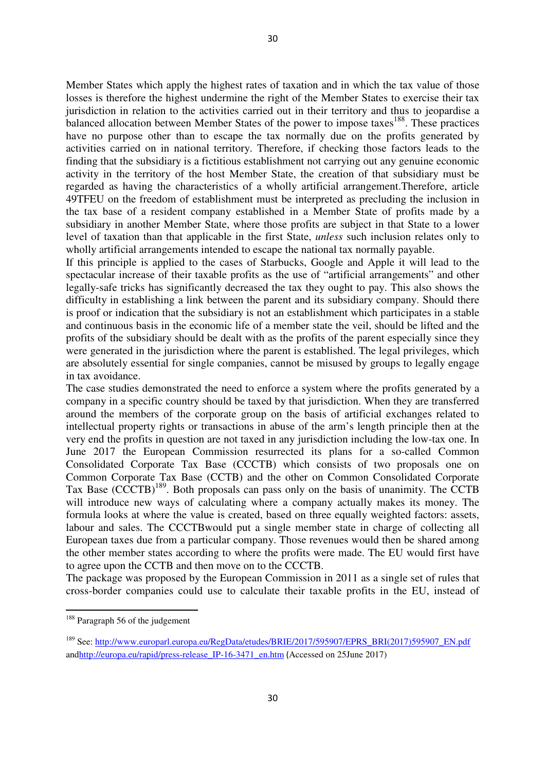Member States which apply the highest rates of taxation and in which the tax value of those losses is therefore the highest undermine the right of the Member States to exercise their tax jurisdiction in relation to the activities carried out in their territory and thus to jeopardise a balanced allocation between Member States of the power to impose taxes<sup>188</sup>. These practices have no purpose other than to escape the tax normally due on the profits generated by activities carried on in national territory. Therefore, if checking those factors leads to the finding that the subsidiary is a fictitious establishment not carrying out any genuine economic activity in the territory of the host Member State, the creation of that subsidiary must be regarded as having the characteristics of a wholly artificial arrangement.Therefore, article 49TFEU on the freedom of establishment must be interpreted as precluding the inclusion in the tax base of a resident company established in a Member State of profits made by a subsidiary in another Member State, where those profits are subject in that State to a lower level of taxation than that applicable in the first State, *unless* such inclusion relates only to wholly artificial arrangements intended to escape the national tax normally payable.

If this principle is applied to the cases of Starbucks, Google and Apple it will lead to the spectacular increase of their taxable profits as the use of "artificial arrangements" and other legally-safe tricks has significantly decreased the tax they ought to pay. This also shows the difficulty in establishing a link between the parent and its subsidiary company. Should there is proof or indication that the subsidiary is not an establishment which participates in a stable and continuous basis in the economic life of a member state the veil, should be lifted and the profits of the subsidiary should be dealt with as the profits of the parent especially since they were generated in the jurisdiction where the parent is established. The legal privileges, which are absolutely essential for single companies, cannot be misused by groups to legally engage in tax avoidance.

The case studies demonstrated the need to enforce a system where the profits generated by a company in a specific country should be taxed by that jurisdiction. When they are transferred around the members of the corporate group on the basis of artificial exchanges related to intellectual property rights or transactions in abuse of the arm's length principle then at the very end the profits in question are not taxed in any jurisdiction including the low-tax one. In June 2017 the European Commission resurrected its plans for a so-called Common Consolidated Corporate Tax Base (CCCTB) which consists of two proposals one on Common Corporate Tax Base (CCTB) and the other on Common Consolidated Corporate Tax Base (CCCTB)<sup>189</sup>. Both proposals can pass only on the basis of unanimity. The CCTB will introduce new ways of calculating where a company actually makes its money. The formula looks at where the value is created, based on three equally weighted factors: assets, labour and sales. The CCCTBwould put a single member state in charge of collecting all European taxes due from a particular company. Those revenues would then be shared among the other member states according to where the profits were made. The EU would first have to agree upon the CCTB and then move on to the CCCTB.

The package was proposed by the European Commission in 2011 as a single set of rules that cross-border companies could use to calculate their taxable profits in the EU, instead of

 $\overline{a}$ 

 $188$  Paragraph 56 of the judgement

<sup>&</sup>lt;sup>189</sup> See: http://www.europarl.europa.eu/RegData/etudes/BRIE/2017/595907/EPRS\_BRI(2017)595907\_EN.pdf andhttp://europa.eu/rapid/press-release\_IP-16-3471\_en.htm (Accessed on 25June 2017)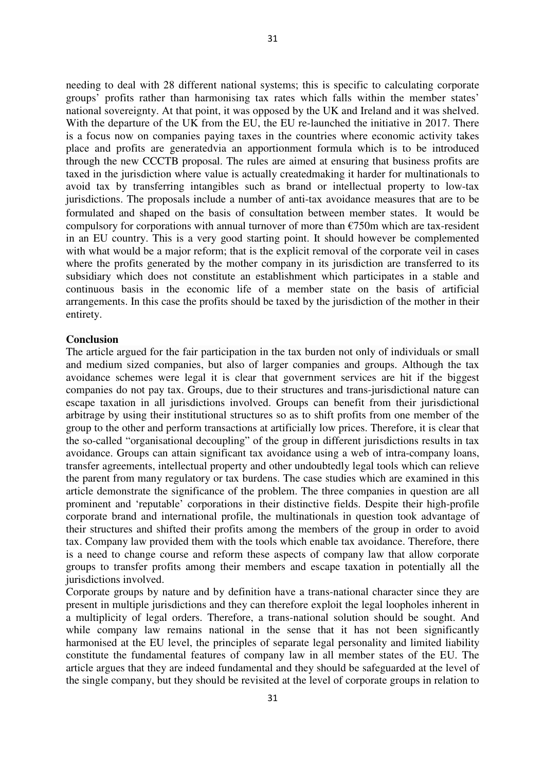needing to deal with 28 different national systems; this is specific to calculating corporate groups' profits rather than harmonising tax rates which falls within the member states' national sovereignty. At that point, it was opposed by the UK and Ireland and it was shelved. With the departure of the UK from the EU, the EU re-launched the initiative in 2017. There is a focus now on companies paying taxes in the countries where economic activity takes place and profits are generatedvia an apportionment formula which is to be introduced through the new CCCTB proposal. The rules are aimed at ensuring that business profits are taxed in the jurisdiction where value is actually createdmaking it harder for multinationals to avoid tax by transferring intangibles such as brand or intellectual property to low-tax jurisdictions. The proposals include a number of anti-tax avoidance measures that are to be formulated and shaped on the basis of consultation between member states. It would be compulsory for corporations with annual turnover of more than  $\epsilon$ 750m which are tax-resident in an EU country. This is a very good starting point. It should however be complemented with what would be a major reform; that is the explicit removal of the corporate veil in cases where the profits generated by the mother company in its jurisdiction are transferred to its subsidiary which does not constitute an establishment which participates in a stable and continuous basis in the economic life of a member state on the basis of artificial arrangements. In this case the profits should be taxed by the jurisdiction of the mother in their entirety.

### **Conclusion**

The article argued for the fair participation in the tax burden not only of individuals or small and medium sized companies, but also of larger companies and groups. Although the tax avoidance schemes were legal it is clear that government services are hit if the biggest companies do not pay tax. Groups, due to their structures and trans-jurisdictional nature can escape taxation in all jurisdictions involved. Groups can benefit from their jurisdictional arbitrage by using their institutional structures so as to shift profits from one member of the group to the other and perform transactions at artificially low prices. Therefore, it is clear that the so-called "organisational decoupling" of the group in different jurisdictions results in tax avoidance. Groups can attain significant tax avoidance using a web of intra-company loans, transfer agreements, intellectual property and other undoubtedly legal tools which can relieve the parent from many regulatory or tax burdens. The case studies which are examined in this article demonstrate the significance of the problem. The three companies in question are all prominent and 'reputable' corporations in their distinctive fields. Despite their high-profile corporate brand and international profile, the multinationals in question took advantage of their structures and shifted their profits among the members of the group in order to avoid tax. Company law provided them with the tools which enable tax avoidance. Therefore, there is a need to change course and reform these aspects of company law that allow corporate groups to transfer profits among their members and escape taxation in potentially all the jurisdictions involved.

Corporate groups by nature and by definition have a trans-national character since they are present in multiple jurisdictions and they can therefore exploit the legal loopholes inherent in a multiplicity of legal orders. Therefore, a trans-national solution should be sought. And while company law remains national in the sense that it has not been significantly harmonised at the EU level, the principles of separate legal personality and limited liability constitute the fundamental features of company law in all member states of the EU. The article argues that they are indeed fundamental and they should be safeguarded at the level of the single company, but they should be revisited at the level of corporate groups in relation to